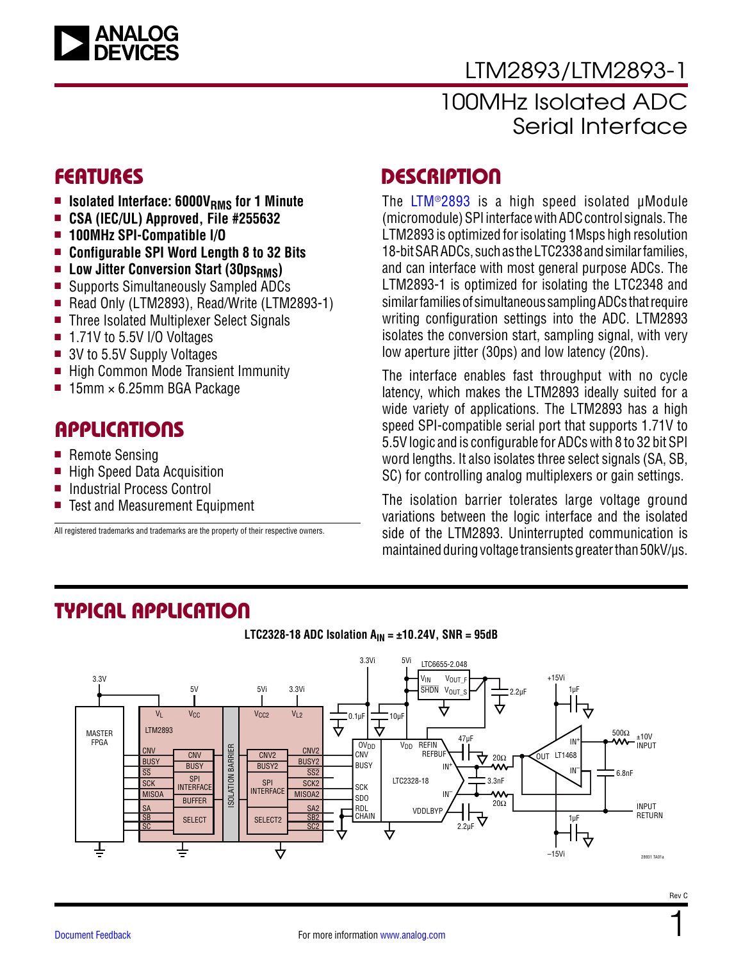

### LTM2893/LTM2893-1

### 100MHz Isolated ADC Serial Interface

- **n Isolated Interface: 6000V<sub>RMS</sub> for 1 Minute**
- <sup>n</sup> **CSA (IEC/UL) Approved, File #255632**
- <sup>n</sup> **100MHz SPI-Compatible I/O**
- Configurable SPI Word Length 8 to 32 Bits
- **E** Low Jitter Conversion Start (30ps<sub>RMS</sub>)
- Supports Simultaneously Sampled ADCs
- Read Only (LTM2893), Read/Write (LTM2893-1)
- Three Isolated Multiplexer Select Signals
- $\blacksquare$  1.71V to 5.5V I/O Voltages
- $\blacksquare$  3V to 5.5V Supply Voltages
- High Common Mode Transient Immunity
- $\blacksquare$  15mm  $\times$  6.25mm BGA Package

### **APPLICATIONS**

- $\blacksquare$  Remote Sensing
- $\blacksquare$  High Speed Data Acquisition
- Industrial Process Control
- Test and Measurement Equipment

All registered trademarks and trademarks are the property of their respective owners.

### FEATURES DESCRIPTION

The [LTM®2893](http://www.analog.com/LTM2893?doc=LTM2893.pdf) is a high speed isolated μModule (micromodule) SPI interface with ADC control signals. The LTM2893 is optimized for isolating 1Msps high resolution 18-bit SAR ADCs, such as the LTC2338 and similar families, and can interface with most general purpose ADCs. The LTM2893-1 is optimized for isolating the LTC2348 and similar families of simultaneous sampling ADCs that require writing configuration settings into the ADC. LTM2893 isolates the conversion start, sampling signal, with very low aperture jitter (30ps) and low latency (20ns).

The interface enables fast throughput with no cycle latency, which makes the LTM2893 ideally suited for a wide variety of applications. The LTM2893 has a high speed SPI-compatible serial port that supports 1.71V to 5.5V logic and is configurable for ADCs with 8 to 32 bit SPI word lengths. It also isolates three select signals (SA, SB, SC) for controlling analog multiplexers or gain settings.

The isolation barrier tolerates large voltage ground variations between the logic interface and the isolated side of the LTM2893. Uninterrupted communication is maintained during voltage transients greater than 50kV/µs.

### TYPICAL APPLICATION



**LTC2328-18 ADC Isolation AIN = ±10.24V, SNR = 95dB**

1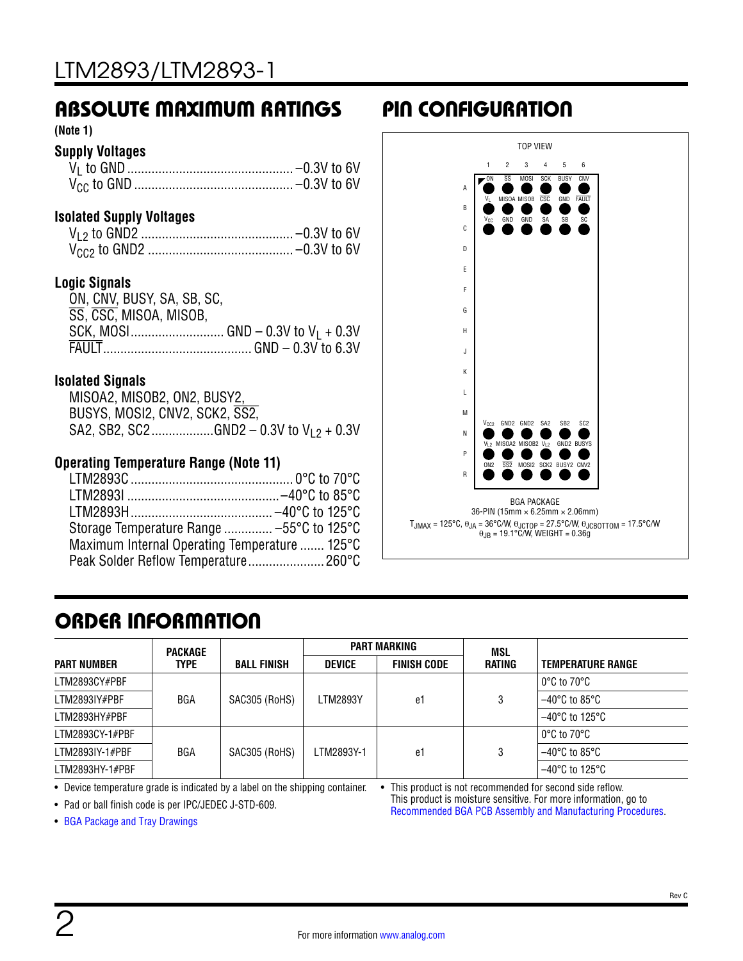### ABSOLUTE MAXIMUM RATINGS PIN CONFIGURATION

**(Note 1)**

### **Supply Voltages**

| . –0.3V to 6V |
|---------------|
| $-0.3V$ to 6V |

#### **Isolated Supply Voltages**

#### **Logic Signals**

| ON, CNV, BUSY, SA, SB, SC, |  |
|----------------------------|--|
| SS. CSC, MISOA, MISOB,     |  |
|                            |  |
|                            |  |

#### **Isolated Signals**

| MISOA2, MISOB2, ON2, BUSY2,    |                                              |
|--------------------------------|----------------------------------------------|
| BUSYS, MOSI2, CNV2, SCK2, SS2, |                                              |
|                                | SA2, SB2, SC2GND2 – 0.3V to $V_{1,2}$ + 0.3V |

#### **Operating Temperature Range (Note 11)**

| Storage Temperature Range  -55°C to 125°C     |  |
|-----------------------------------------------|--|
| Maximum Internal Operating Temperature  125°C |  |
| Peak Solder Reflow Temperature 260°C          |  |



### ORDER INFORMATION

|                    | <b>PACKAGE</b> |                    |               | <b>PART MARKING</b> | MSL    |                                     |
|--------------------|----------------|--------------------|---------------|---------------------|--------|-------------------------------------|
| <b>PART NUMBER</b> | <b>TYPE</b>    | <b>BALL FINISH</b> | <b>DEVICE</b> | <b>FINISH CODE</b>  | RATING | <b>TEMPERATURE RANGE</b>            |
| LTM2893CY#PBF      |                |                    |               |                     |        | $0^{\circ}$ C to 70 $^{\circ}$ C    |
| LTM2893IY#PBF      | BGA            | SAC305 (RoHS)      | LTM2893Y      | e1                  |        | $-40^{\circ}$ C to 85°C             |
| LTM2893HY#PBF      |                |                    |               |                     |        | $-40^{\circ}$ C to 125 $^{\circ}$ C |
| LTM2893CY-1#PBF    |                |                    |               |                     |        | $0^{\circ}$ C to $70^{\circ}$ C     |
| LTM2893IY-1#PBF    | <b>BGA</b>     | SAC305 (RoHS)      | LTM2893Y-1    | e1                  |        | $-40^{\circ}$ C to 85 $^{\circ}$ C  |
| $LTM2893HY-1#PBF$  |                |                    |               |                     |        | $-40^{\circ}$ C to 125°C            |

• Device temperature grade is indicated by a label on the shipping container. • This product is not recommended for second side reflow.

• Pad or ball finish code is per IPC/JEDEC J-STD-609.

This product is moisture sensitive. For more information, go to [Recommended BGA PCB Assembly and Manufacturing Procedures](http://www.analog.com/en/products/landing-pages/001/umodule-design-manufacturing-resources.html).

• [BGA Package and Tray Drawings](http://www.analog.com/en/design-center/packaging-quality-symbols-footprints.html)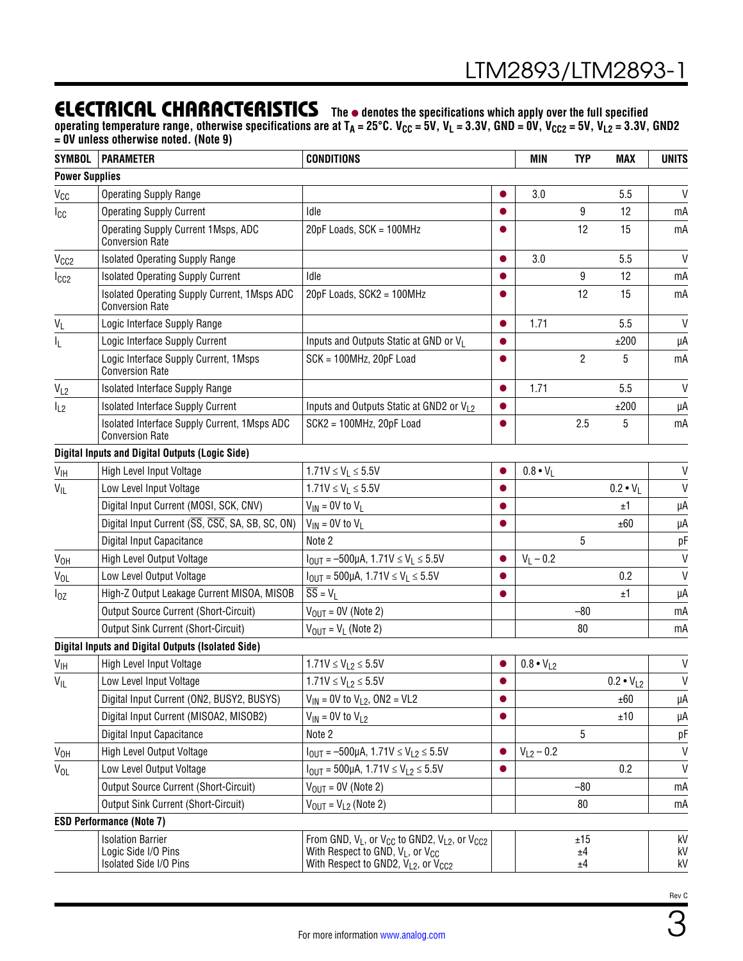### **ELECTRICAL CHARACTERISTICS** The  $\bullet$  denotes the specifications which apply over the full specified

operating temperature range, otherwise specifications are at T<sub>A</sub> = 25°C. V<sub>CC</sub> = 5V, V<sub>L</sub> = 3.3V, GND = 0V, V<sub>CC2</sub> = 5V, V<sub>L2</sub> = 3.3V, GND2 **= 0V unless otherwise noted. (Note 9)**

| <b>SYMBOL</b>         | <b>PARAMETER</b>                                                          | <b>CONDITIONS</b>                                                                                                                                                       |           | <b>MIN</b>         | <b>TYP</b>      | <b>MAX</b>         | <b>UNITS</b>   |
|-----------------------|---------------------------------------------------------------------------|-------------------------------------------------------------------------------------------------------------------------------------------------------------------------|-----------|--------------------|-----------------|--------------------|----------------|
| <b>Power Supplies</b> |                                                                           |                                                                                                                                                                         |           |                    |                 |                    |                |
| V <sub>CC</sub>       | <b>Operating Supply Range</b>                                             |                                                                                                                                                                         |           | 3.0                |                 | 5.5                | $\mathsf{V}$   |
| Icc                   | <b>Operating Supply Current</b>                                           | Idle                                                                                                                                                                    |           |                    | 9               | 12                 | mA             |
|                       | Operating Supply Current 1Msps, ADC<br><b>Conversion Rate</b>             | 20pF Loads, SCK = 100MHz                                                                                                                                                |           |                    | 12              | 15                 | mA             |
| V <sub>CC2</sub>      | Isolated Operating Supply Range                                           |                                                                                                                                                                         |           | 3.0                |                 | 5.5                | V              |
| $I_{CC2}$             | <b>Isolated Operating Supply Current</b>                                  | Idle                                                                                                                                                                    |           |                    | 9               | 12                 | mA             |
|                       | Isolated Operating Supply Current, 1Msps ADC<br><b>Conversion Rate</b>    | 20pF Loads, SCK2 = 100MHz                                                                                                                                               |           |                    | 12              | 15                 | mA             |
| $V_L$                 | Logic Interface Supply Range                                              |                                                                                                                                                                         |           | 1.71               |                 | 5.5                | $\mathsf{V}$   |
| I <sub>L</sub>        | Logic Interface Supply Current                                            | Inputs and Outputs Static at GND or VL                                                                                                                                  |           |                    |                 | ±200               | μA             |
|                       | Logic Interface Supply Current, 1Msps<br><b>Conversion Rate</b>           | SCK = 100MHz, 20pF Load                                                                                                                                                 |           |                    | $\overline{c}$  | 5                  | mA             |
| $V_{L2}$              | Isolated Interface Supply Range                                           |                                                                                                                                                                         |           | 1.71               |                 | 5.5                | $\mathsf{V}$   |
| $I_{L2}$              | <b>Isolated Interface Supply Current</b>                                  | Inputs and Outputs Static at GND2 or V <sub>12</sub>                                                                                                                    |           |                    |                 | ±200               | μA             |
|                       | Isolated Interface Supply Current, 1Msps ADC<br><b>Conversion Rate</b>    | SCK2 = 100MHz, 20pF Load                                                                                                                                                |           |                    | 2.5             | 5                  | mA             |
|                       | <b>Digital Inputs and Digital Outputs (Logic Side)</b>                    |                                                                                                                                                                         |           |                    |                 |                    |                |
| V <sub>IH</sub>       | High Level Input Voltage                                                  | $1.71V \le V_L \le 5.5V$                                                                                                                                                |           | $0.8 \cdot V_L$    |                 |                    | V              |
| $V_{IL}$              | Low Level Input Voltage                                                   | $1.71V \le V_L \le 5.5V$                                                                                                                                                |           |                    |                 | $0.2 \cdot V_1$    | V              |
|                       | Digital Input Current (MOSI, SCK, CNV)                                    | $V_{IN}$ = 0V to $V_L$                                                                                                                                                  |           |                    |                 | ±1                 | μA             |
|                       | Digital Input Current (SS, CSC, SA, SB, SC, ON)                           | $V_{IN}$ = 0V to $V_L$                                                                                                                                                  |           |                    |                 | ±60                | μA             |
|                       | Digital Input Capacitance                                                 | Note 2                                                                                                                                                                  |           |                    | 5               |                    | рF             |
| V <sub>OH</sub>       | High Level Output Voltage                                                 | $I_{\text{OUT}} = -500 \mu A$ , 1.71V $\leq V_L \leq 5.5 V$                                                                                                             |           | $V_L - 0.2$        |                 |                    | $\mathsf{V}$   |
| $V_{OL}$              | Low Level Output Voltage                                                  | $I_{OUT} = 500 \mu A$ , 1.71V $\leq V_L \leq 5.5 V$                                                                                                                     |           |                    |                 | 0.2                | V              |
| $I_{0Z}$              | High-Z Output Leakage Current MISOA, MISOB                                | $\overline{SS} = V_L$                                                                                                                                                   |           |                    |                 | ±1                 | μA             |
|                       | <b>Output Source Current (Short-Circuit)</b>                              | $V_{\text{OUT}} = 0V$ (Note 2)                                                                                                                                          |           |                    | $-80$           |                    | mA             |
|                       | <b>Output Sink Current (Short-Circuit)</b>                                | $V_{\text{OUT}} = V_{\text{L}}$ (Note 2)                                                                                                                                |           |                    | 80              |                    | mA             |
|                       | <b>Digital Inputs and Digital Outputs (Isolated Side)</b>                 |                                                                                                                                                                         |           |                    |                 |                    |                |
| V <sub>IH</sub>       | High Level Input Voltage                                                  | $1.71V \le V_{12} \le 5.5V$                                                                                                                                             |           | $0.8 \cdot V_{L2}$ |                 |                    | V              |
| $V_{IL}$              | Low Level Input Voltage                                                   | $1.71V \le V_{L2} \le 5.5V$                                                                                                                                             |           |                    |                 | $0.2 \cdot V_{L2}$ | $\mathsf{V}$   |
|                       | Digital Input Current (ON2, BUSY2, BUSYS)                                 | $V_{1N} = 0V$ to $V_{L2}$ , ON2 = VL2                                                                                                                                   |           |                    |                 | ±60                | μA             |
|                       | Digital Input Current (MISOA2, MISOB2)                                    | $V_{1N} = 0V$ to $V_{12}$                                                                                                                                               |           |                    |                 | ±10                | μA             |
|                       | Digital Input Capacitance                                                 | Note 2                                                                                                                                                                  |           |                    | 5               |                    | рF             |
| V <sub>OH</sub>       | High Level Output Voltage                                                 | $I_{\text{OUT}} = -500 \mu A$ , 1.71V $\leq$ V <sub>L2</sub> $\leq$ 5.5V                                                                                                |           | $V_{L2} - 0.2$     |                 |                    | $\mathsf{V}$   |
| $V_{OL}$              | Low Level Output Voltage                                                  | $I_{\text{OUT}} = 500 \mu A$ , 1.71V $\leq$ V <sub>L2</sub> $\leq$ 5.5V                                                                                                 | $\bullet$ |                    |                 | 0.2                | $\mathsf{V}$   |
|                       | <b>Output Source Current (Short-Circuit)</b>                              | $V_{OIII} = 0V$ (Note 2)                                                                                                                                                |           |                    | $-80$           |                    | mA             |
|                       | <b>Output Sink Current (Short-Circuit)</b>                                | $V_{OUT} = V_{L2}$ (Note 2)                                                                                                                                             |           |                    | 80              |                    | mA             |
|                       | <b>ESD Performance (Note 7)</b>                                           |                                                                                                                                                                         |           |                    |                 |                    |                |
|                       | <b>Isolation Barrier</b><br>Logic Side I/O Pins<br>Isolated Side I/O Pins | From GND, $V_L$ , or $V_{CC}$ to GND2, $V_{L2}$ , or $V_{CC2}$<br>With Respect to GND, $V_1$ , or $V_{CC}$<br>With Respect to GND2, $\bar{V}_{L2}$ , or $\bar{V}_{CC2}$ |           |                    | ±15<br>±4<br>±4 |                    | kV<br>kV<br>kV |

3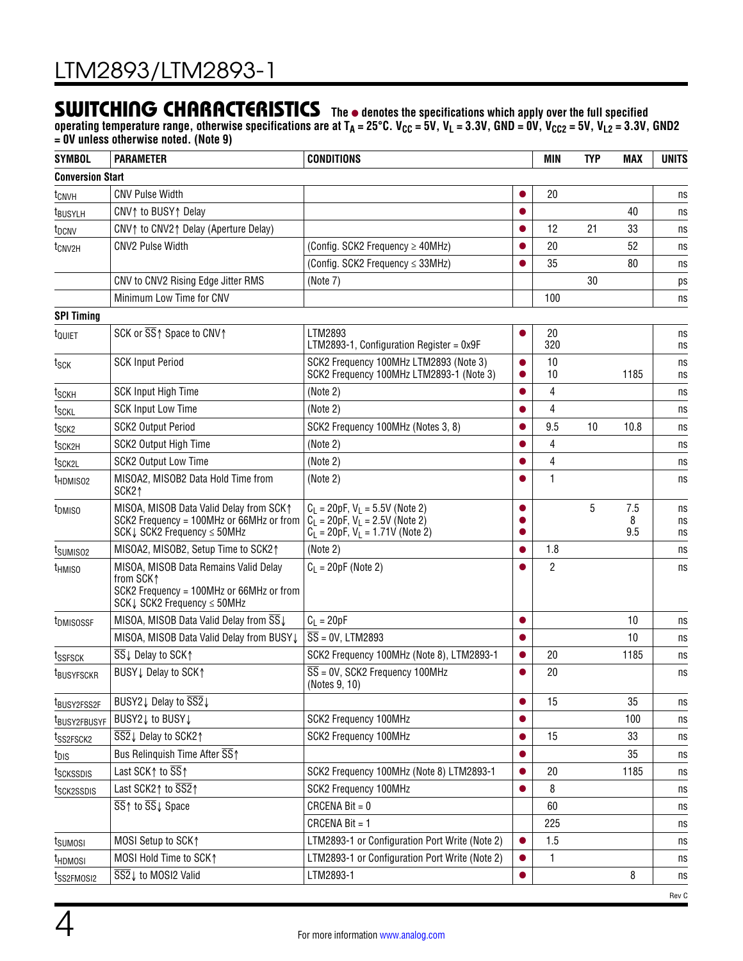### SWITCHING CHARACTERISTICS The  $\bullet$  denotes the specifications which apply over the full specified

operating temperature range, otherwise specifications are at T<sub>A</sub> = 25°C. V<sub>CC</sub> = 5V, V<sub>L</sub> = 3.3V, GND = 0V, V<sub>CC2</sub> = 5V, V<sub>L2</sub> = 3.3V, GND2 **= 0V unless otherwise noted. (Note 9)**

| <b>SYMBOL</b>            | <b>PARAMETER</b>                                                                                                                    | <b>CONDITIONS</b>                                                                                                |           | <b>MIN</b>     | <b>TYP</b> | <b>MAX</b>      | <b>UNITS</b>   |
|--------------------------|-------------------------------------------------------------------------------------------------------------------------------------|------------------------------------------------------------------------------------------------------------------|-----------|----------------|------------|-----------------|----------------|
| <b>Conversion Start</b>  |                                                                                                                                     |                                                                                                                  |           |                |            |                 |                |
| t <sub>CNVH</sub>        | <b>CNV Pulse Width</b>                                                                                                              |                                                                                                                  |           | 20             |            |                 | ns             |
| <b>EBUSYLH</b>           | CNV↑ to BUSY↑ Delay                                                                                                                 |                                                                                                                  |           |                |            | 40              | ns             |
| t <sub>DCNV</sub>        | CNV↑ to CNV2↑ Delay (Aperture Delay)                                                                                                |                                                                                                                  |           | 12             | 21         | 33              | ns             |
| t <sub>CNV2H</sub>       | <b>CNV2 Pulse Width</b>                                                                                                             | (Config. SCK2 Frequency ≥ 40MHz)                                                                                 |           | 20             |            | 52              | ns             |
|                          |                                                                                                                                     | (Config. SCK2 Frequency $\leq$ 33MHz)                                                                            |           | 35             |            | 80              | ns             |
|                          | CNV to CNV2 Rising Edge Jitter RMS                                                                                                  | (Note 7)                                                                                                         |           |                | 30         |                 | ps             |
|                          | Minimum Low Time for CNV                                                                                                            |                                                                                                                  |           | 100            |            |                 | ns             |
| <b>SPI Timing</b>        |                                                                                                                                     |                                                                                                                  |           |                |            |                 |                |
| t <sub>QUIET</sub>       | SCK or SS↑ Space to CNV↑                                                                                                            | LTM2893<br>LTM2893-1, Configuration Register = $0x9F$                                                            |           | 20<br>320      |            |                 | ns<br>ns       |
| t <sub>SCK</sub>         | <b>SCK Input Period</b>                                                                                                             | SCK2 Frequency 100MHz LTM2893 (Note 3)<br>SCK2 Frequency 100MHz LTM2893-1 (Note 3)                               | $\bullet$ | 10<br>10       |            | 1185            | ns<br>ns       |
| t <sub>SCKH</sub>        | <b>SCK Input High Time</b>                                                                                                          | (Note 2)                                                                                                         |           | 4              |            |                 | ns             |
| t <sub>SCKL</sub>        | <b>SCK Input Low Time</b>                                                                                                           | (Note 2)                                                                                                         |           | 4              |            |                 | ns             |
| t <sub>SCK2</sub>        | <b>SCK2 Output Period</b>                                                                                                           | SCK2 Frequency 100MHz (Notes 3, 8)                                                                               |           | 9.5            | 10         | 10.8            | ns             |
| t <sub>SCK2H</sub>       | SCK2 Output High Time                                                                                                               | (Note 2)                                                                                                         |           | $\overline{4}$ |            |                 | ns             |
| t <sub>SCK2L</sub>       | <b>SCK2 Output Low Time</b>                                                                                                         | (Note 2)                                                                                                         |           | 4              |            |                 | ns             |
| t <sub>HDMISO2</sub>     | MISOA2, MISOB2 Data Hold Time from<br>SCK21                                                                                         | (Note 2)                                                                                                         |           | $\mathbf{1}$   |            |                 | ns             |
| t <sub>DMISO</sub>       | MISOA, MISOB Data Valid Delay from SCK1<br>SCK2 Frequency = 100MHz or 66MHz or from<br>SCK $\downarrow$ SCK2 Frequency $\leq$ 50MHz | $C_1$ = 20pF, $V_1$ = 5.5V (Note 2)<br>$C_1 = 20pF, V_1 = 2.5V$ (Note 2)<br>$C_L$ = 20pF, $V_L$ = 1.71V (Note 2) |           |                | 5          | 7.5<br>8<br>9.5 | ns<br>ns<br>ns |
| t <sub>SUMISO2</sub>     | MISOA2, MISOB2, Setup Time to SCK21                                                                                                 | (Note 2)                                                                                                         |           | 1.8            |            |                 | ns             |
| <sup>t</sup> hmiso       | MISOA, MISOB Data Remains Valid Delay<br>from SCK1<br>SCK2 Frequency = 100MHz or 66MHz or from<br>SCK↓ SCK2 Frequency ≤ 50MHz       | $C_L = 20pF$ (Note 2)                                                                                            |           | $\overline{2}$ |            |                 | ns             |
| t <sub>DMISOSSF</sub>    | MISOA, MISOB Data Valid Delay from SS↓                                                                                              | $C_1 = 20pF$                                                                                                     |           |                |            | 10              | ns             |
|                          | MISOA, MISOB Data Valid Delay from BUSY L                                                                                           | $\overline{SS}$ = 0V, LTM2893                                                                                    |           |                |            | 10              | ns             |
| tssfsck                  | $\overline{\text{SS}}$ $\downarrow$ Delay to SCK $\uparrow$                                                                         | SCK2 Frequency 100MHz (Note 8), LTM2893-1                                                                        |           | 20             |            | 1185            | ns             |
| <b>t</b> BUSYFSCKR       | BUSY↓ Delay to SCK↑                                                                                                                 | $\overline{SS}$ = 0V, SCK2 Frequency 100MHz<br>(Notes 9, 10)                                                     |           | 20             |            |                 | ns             |
| t <sub>BUSY2FSS2F</sub>  | BUSY2 J Delay to SS2 J                                                                                                              |                                                                                                                  |           | 15             |            | 35              | ns             |
| t <sub>BUSY2FBUSYF</sub> | BUSY2↓ to BUSY↓                                                                                                                     | SCK2 Frequency 100MHz                                                                                            |           |                |            | 100             | ns             |
| t <sub>SS2FSCK2</sub>    | SS2↓ Delay to SCK2↑                                                                                                                 | SCK2 Frequency 100MHz                                                                                            |           | 15             |            | 33              | ns             |
| $t_{DIS}$                | Bus Relinguish Time After SS 1                                                                                                      |                                                                                                                  | $\bullet$ |                |            | 35              | ns             |
| tsckssdis                | Last SCK1 to $\overline{\text{SS}}$ 1                                                                                               | SCK2 Frequency 100MHz (Note 8) LTM2893-1                                                                         |           | 20             |            | 1185            | ns             |
| t <sub>SCK2SSDIS</sub>   | Last SCK21 to SS21                                                                                                                  | SCK2 Frequency 100MHz                                                                                            |           | 8              |            |                 | ns             |
|                          | SS↑ to SS↓ Space                                                                                                                    | CRCENA Bit = $0$                                                                                                 |           | 60             |            |                 | ns             |
|                          |                                                                                                                                     | CRCENA Bit = 1                                                                                                   |           | 225            |            |                 | ns             |
| tsumosi                  | MOSI Setup to SCK1                                                                                                                  | LTM2893-1 or Configuration Port Write (Note 2)                                                                   |           | 1.5            |            |                 | ns             |
| t <sub>HDMOSI</sub>      | MOSI Hold Time to SCK1                                                                                                              | LTM2893-1 or Configuration Port Write (Note 2)                                                                   |           | $\mathbf{1}$   |            |                 | ns             |
| t <sub>SS2FMOSI2</sub>   | SS2↓ to MOSI2 Valid                                                                                                                 | LTM2893-1                                                                                                        |           |                |            | 8               | ns             |
|                          |                                                                                                                                     |                                                                                                                  |           |                |            |                 | Rev C          |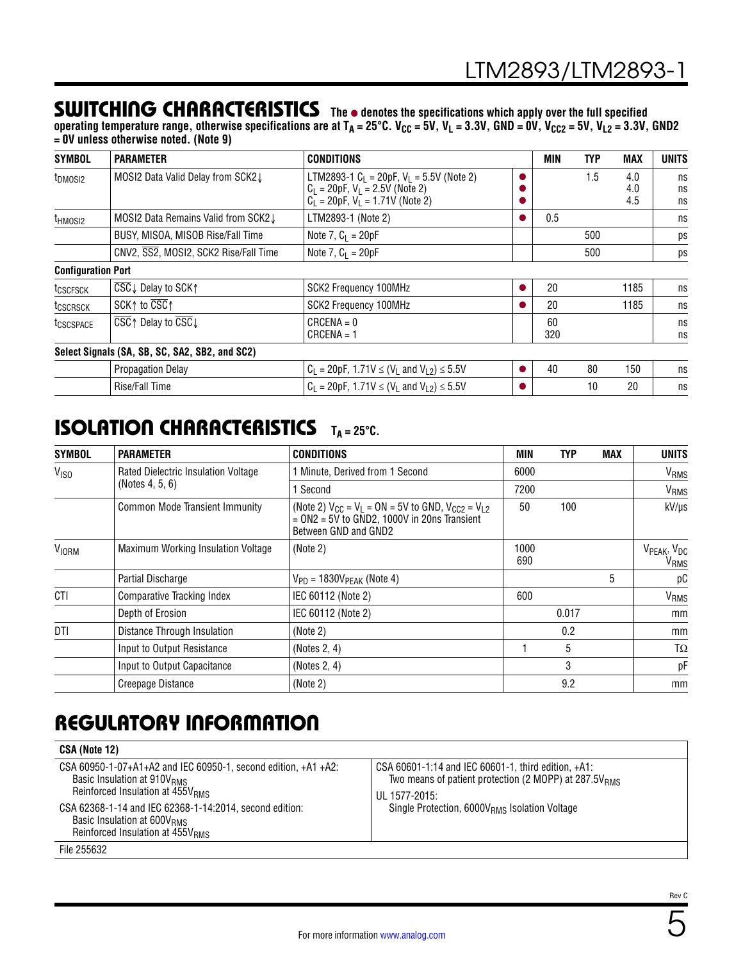### SWITCHING CHARACTERISTICS The  $\bullet$  denotes the specifications which apply over the full specified

operating temperature range, otherwise specifications are at T<sub>A</sub> = 25°C. V<sub>CC</sub> = 5V, V<sub>L</sub> = 3.3V, GND = 0V, V<sub>CC2</sub> = 5V, V<sub>L2</sub> = 3.3V, GND2 **= 0V unless otherwise noted. (Note 9)**

| <b>SYMBOL</b>             | <b>PARAMETER</b>                                                                 | <b>CONDITIONS</b>                                                                                                           |   | <b>MIN</b> | <b>TYP</b> | <b>MAX</b>        | <b>UNITS</b>   |
|---------------------------|----------------------------------------------------------------------------------|-----------------------------------------------------------------------------------------------------------------------------|---|------------|------------|-------------------|----------------|
| t <sub>DMOSI2</sub>       | MOSI2 Data Valid Delay from SCK2 J                                               | LTM2893-1 $C_L$ = 20pF, $V_L$ = 5.5V (Note 2)<br>$C_L = 20pF$ , $V_L = 2.5V$ (Note 2)<br>$C_1 = 20pF, V_1 = 1.71V$ (Note 2) |   |            | 1.5        | 4.0<br>4.0<br>4.5 | ns<br>ns<br>ns |
| t <sub>HMOSI2</sub>       | MOSI2 Data Remains Valid from SCK2 I                                             | LTM2893-1 (Note 2)                                                                                                          | o | 0.5        |            |                   | ns             |
|                           | BUSY, MISOA, MISOB Rise/Fall Time                                                | Note 7, $C_1 = 20pF$                                                                                                        |   |            | 500        |                   | ps             |
|                           | CNV2, SS2, MOSI2, SCK2 Rise/Fall Time                                            | Note 7, $C_1 = 20pF$                                                                                                        |   |            | 500        |                   | ps             |
| <b>Configuration Port</b> |                                                                                  |                                                                                                                             |   |            |            |                   |                |
| t <sub>CSCFSCK</sub>      | $\overline{CSC}$ Delay to SCK $\uparrow$                                         | <b>SCK2 Frequency 100MHz</b>                                                                                                |   | 20         |            | 1185              | ns             |
| t <sub>CSCRSCK</sub>      | SCK $\uparrow$ to $\overline{CSC}$ $\uparrow$                                    | SCK2 Frequency 100MHz                                                                                                       |   | 20         |            | 1185              | ns             |
| tcscspace                 | $\overline{\text{CSC}}$ $\uparrow$ Delay to $\overline{\text{CSC}}$ $\downarrow$ | $CRCENA = 0$<br>$CRCENA = 1$                                                                                                |   | 60<br>320  |            |                   | ns<br>ns       |
|                           | Select Signals (SA, SB, SC, SA2, SB2, and SC2)                                   |                                                                                                                             |   |            |            |                   |                |
|                           | <b>Propagation Delay</b>                                                         | $C_1 = 20pF$ , 1.71V $\leq (V_1$ and $V_{1,2}) \leq 5.5V$                                                                   |   | 40         | 80         | 150               | ns             |
|                           | Rise/Fall Time                                                                   | $C_1 = 20pF$ , 1.71V $\leq (V_1$ and $V_{1,2}) \leq 5.5V$                                                                   |   |            | 10         | 20                | ns             |

### **ISOLATION CHARACTERISTICS** TA=25°C.

| <b>SYMBOL</b>    | <b>PARAMETER</b>                      | <b>CONDITIONS</b>                                                                                                                             | MIN         | <b>TYP</b> | <b>MAX</b> | <b>UNITS</b>       |
|------------------|---------------------------------------|-----------------------------------------------------------------------------------------------------------------------------------------------|-------------|------------|------------|--------------------|
| V <sub>ISO</sub> | Rated Dielectric Insulation Voltage   | 1 Minute, Derived from 1 Second                                                                                                               | 6000        |            |            | VRMS               |
|                  | (Notes 4, 5, 6)                       | 1 Second                                                                                                                                      | 7200        |            |            | V <sub>RMS</sub>   |
|                  | <b>Common Mode Transient Immunity</b> | (Note 2) $V_{CC} = V_1 = ON = 5V$ to GND, $V_{CC2} = V_{12}$<br>$= ON2 = 5\check{V}$ to GND2, 1000V in 20ns Transient<br>Between GND and GND2 | 50          | 100        |            | kV/µs              |
| <b>VIORM</b>     | Maximum Working Insulation Voltage    | (Note 2)                                                                                                                                      | 1000<br>690 |            |            | VPEAK, VDC<br>VRMS |
|                  | Partial Discharge                     | $V_{PD} = 1830V_{PEAK}$ (Note 4)                                                                                                              |             |            | 5          | рC                 |
| CTI              | <b>Comparative Tracking Index</b>     | IEC 60112 (Note 2)                                                                                                                            | 600         |            |            | V <sub>RMS</sub>   |
|                  | Depth of Erosion                      | IEC 60112 (Note 2)                                                                                                                            |             | 0.017      |            | mm                 |
| DTI              | Distance Through Insulation           | (Note 2)                                                                                                                                      |             | 0.2        |            | mm                 |
|                  | Input to Output Resistance            | (Notes $2, 4$ )                                                                                                                               |             | 5          |            | $T\Omega$          |
|                  | Input to Output Capacitance           | (Notes 2, 4)                                                                                                                                  |             | 3          |            | pF                 |
|                  | Creepage Distance                     | (Note 2)                                                                                                                                      |             | 9.2        |            | mm                 |

# REGULATORY INFORMATION

| CSA (Note 12)                                                                                                                                             |                                                                                                                                                 |
|-----------------------------------------------------------------------------------------------------------------------------------------------------------|-------------------------------------------------------------------------------------------------------------------------------------------------|
| CSA 60950-1-07+A1+A2 and IEC 60950-1, second edition, +A1 +A2:<br>Basic Insulation at 910V <sub>RMS</sub><br>Reinforced Insulation at 455V <sub>RMS</sub> | CSA 60601-1:14 and IEC 60601-1, third edition, $+A1$ :<br>Two means of patient protection (2 MOPP) at 287.5V <sub>RMS</sub><br>$III$ 1577-2015: |
| CSA 62368-1-14 and IEC 62368-1-14:2014, second edition:<br>Basic Insulation at 600V <sub>RMS</sub><br>Reinforced Insulation at 455V <sub>RMS</sub>        | Single Protection, 6000V <sub>RMS</sub> Isolation Voltage                                                                                       |
| File 255632                                                                                                                                               |                                                                                                                                                 |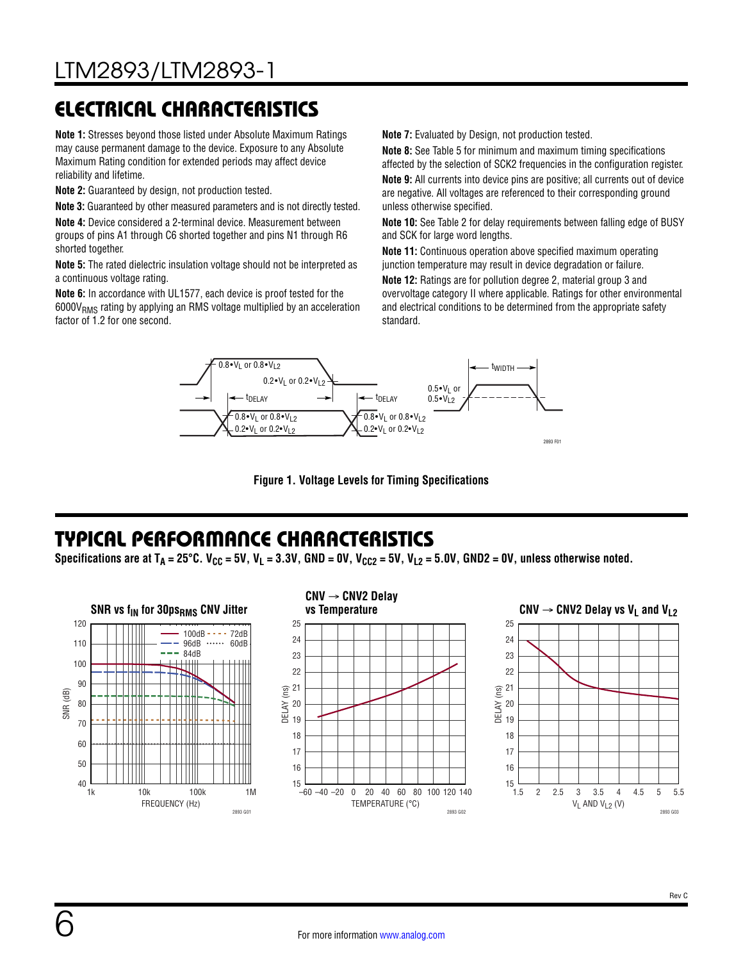# ELECTRICAL CHARACTERISTICS

**Note 1:** Stresses beyond those listed under Absolute Maximum Ratings may cause permanent damage to the device. Exposure to any Absolute Maximum Rating condition for extended periods may affect device reliability and lifetime.

**Note 2:** Guaranteed by design, not production tested.

**Note 3:** Guaranteed by other measured parameters and is not directly tested.

**Note 4:** Device considered a 2-terminal device. Measurement between groups of pins A1 through C6 shorted together and pins N1 through R6 shorted together.

**Note 5:** The rated dielectric insulation voltage should not be interpreted as a continuous voltage rating.

**Note 6:** In accordance with UL1577, each device is proof tested for the  $6000V<sub>RMS</sub>$  rating by applying an RMS voltage multiplied by an acceleration factor of 1.2 for one second.

**Note 7:** Evaluated by Design, not production tested.

**Note 8:** See [Table 5](#page-18-0) for minimum and maximum timing specifications affected by the selection of SCK2 frequencies in the configuration register. **Note 9:** All currents into device pins are positive; all currents out of device are negative. All voltages are referenced to their corresponding ground unless otherwise specified.

**Note 10:** See [Table 2](#page-15-0) for delay requirements between falling edge of BUSY and SCK for large word lengths.

**Note 11:** Continuous operation above specified maximum operating junction temperature may result in device degradation or failure.

**Note 12:** Ratings are for pollution degree 2, material group 3 and overvoltage category II where applicable. Ratings for other environmental and electrical conditions to be determined from the appropriate safety standard.



**Figure 1. Voltage Levels for Timing Specifications**

### <span id="page-5-0"></span>TYPICAL PERFORMANCE CHARACTERISTICS

Specifications are at T<sub>A</sub> = 25°C. V<sub>CC</sub> = 5V, V<sub>L</sub> = 3.3V, GND = 0V, V<sub>CC2</sub> = 5V, V<sub>L2</sub> = 5.0V, GND2 = 0V, unless otherwise noted.

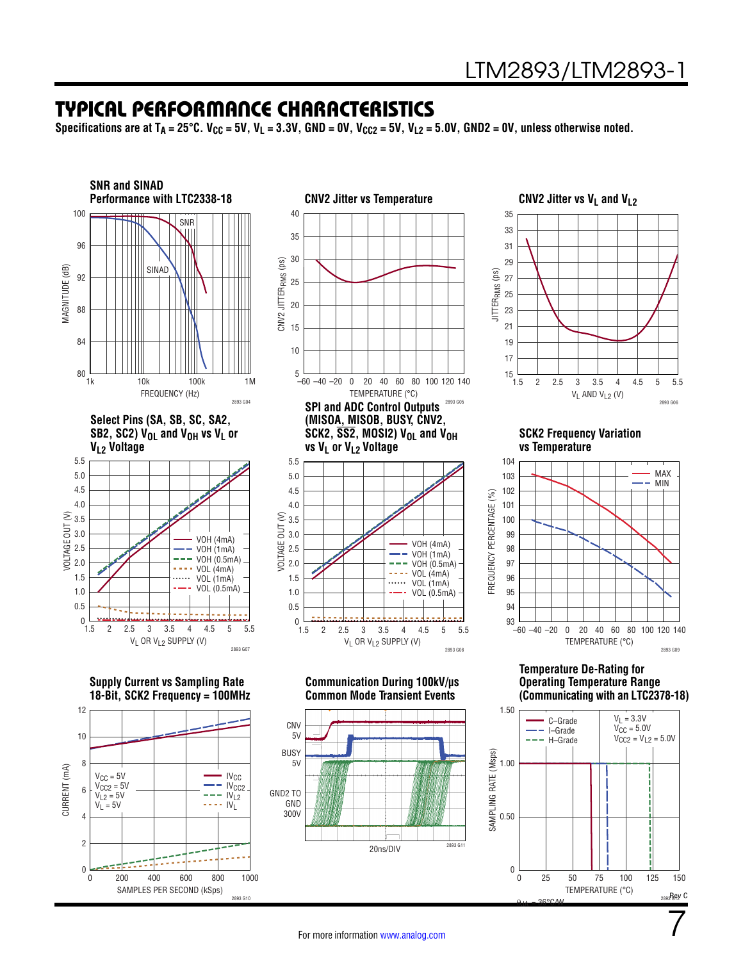### TYPICAL PERFORMANCE CHARACTERISTICS

Specifications are at  $T_A = 25^{\circ}$ C. V<sub>CC</sub> = 5V, V<sub>L</sub> = 3.3V, GND = 0V, V<sub>CC2</sub> = 5V, V<sub>L2</sub> = 5.0V, GND2 = 0V, unless otherwise noted.

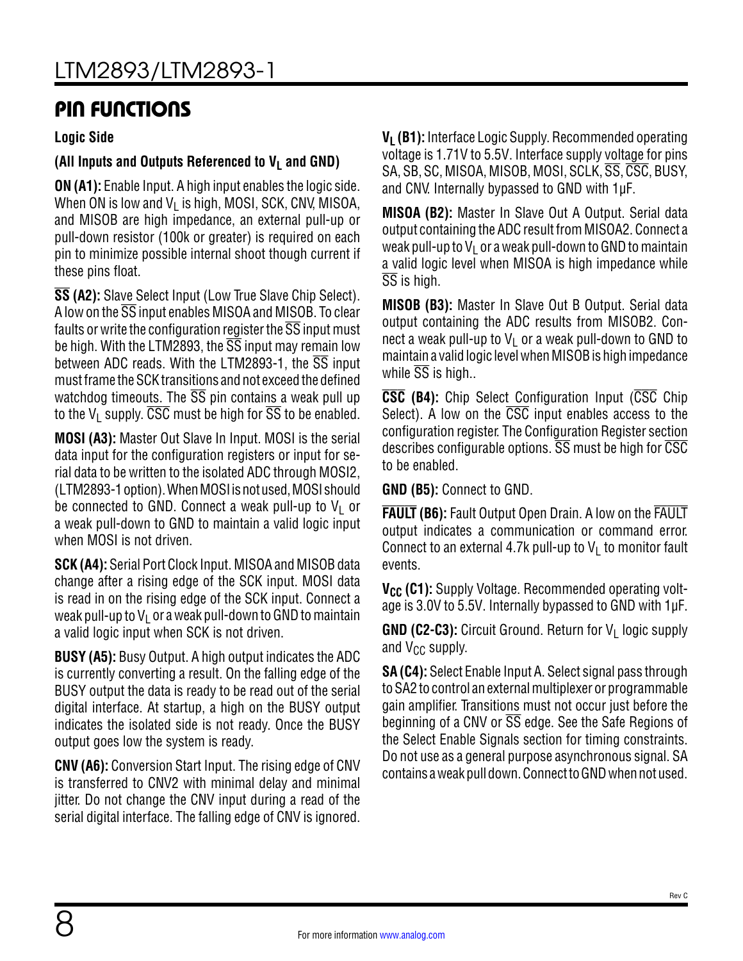### PIN FUNCTIONS

#### **Logic Side**

#### (All Inputs and Outputs Referenced to  $V_1$  and GND)

**ON (A1):** Enable Input. A high input enables the logic side. When ON is low and  $V_1$  is high, MOSI, SCK, CNV, MISOA, and MISOB are high impedance, an external pull-up or pull-down resistor (100k or greater) is required on each pin to minimize possible internal shoot though current if these pins float.

**SS (A2):** Slave Select Input (Low True Slave Chip Select). A low on the SS input enables MISOA and MISOB. To clear faults or write the configuration register the  $\overline{\text{SS}}$  input must be high. With the LTM2893, the  $\overline{SS}$  input may remain low between ADC reads. With the LTM2893-1, the  $\overline{\text{SS}}$  input must frame the SCK transitions and not exceed the defined watchdog timeouts. The  $\overline{SS}$  pin contains a weak pull up to the V<sub>L</sub> supply.  $\overline{\text{CSC}}$  must be high for  $\overline{\text{SS}}$  to be enabled.

**MOSI (A3):** Master Out Slave In Input. MOSI is the serial data input for the configuration registers or input for serial data to be written to the isolated ADC through MOSI2, (LTM2893-1 option). When MOSI is not used, MOSI should be connected to GND. Connect a weak pull-up to  $V_1$  or a weak pull-down to GND to maintain a valid logic input when MOSI is not driven.

**SCK (A4):** Serial Port Clock Input. MISOA and MISOB data change after a rising edge of the SCK input. MOSI data is read in on the rising edge of the SCK input. Connect a weak pull-up to  $V_1$  or a weak pull-down to GND to maintain a valid logic input when SCK is not driven.

**BUSY (A5):** Busy Output. A high output indicates the ADC is currently converting a result. On the falling edge of the BUSY output the data is ready to be read out of the serial digital interface. At startup, a high on the BUSY output indicates the isolated side is not ready. Once the BUSY output goes low the system is ready.

**CNV (A6):** Conversion Start Input. The rising edge of CNV is transferred to CNV2 with minimal delay and minimal jitter. Do not change the CNV input during a read of the serial digital interface. The falling edge of CNV is ignored. **V<sub>L</sub> (B1):** Interface Logic Supply. Recommended operating voltage is 1.71V to 5.5V. Interface supply voltage for pins SA, SB, SC, MISOA, MISOB, MOSI, SCLK, SS, CSC, BUSY, and CNV. Internally bypassed to GND with 1µF.

**MISOA (B2):** Master In Slave Out A Output. Serial data output containing the ADC result from MISOA2. Connect a weak pull-up to  $V_1$  or a weak pull-down to GND to maintain a valid logic level when MISOA is high impedance while SS is high.

**MISOB (B3):** Master In Slave Out B Output. Serial data output containing the ADC results from MISOB2. Connect a weak pull-up to  $V_1$  or a weak pull-down to GND to maintain a valid logic level when MISOB is high impedance while  $\overline{SS}$  is high..

**CSC (B4):** Chip Select Configuration Input (CSC Chip Select). A low on the CSC input enables access to the configuration register. The [Configuration Register](#page-14-0) section describes configurable options.  $\overline{SS}$  must be high for  $\overline{CSC}$ to be enabled.

**GND (B5):** Connect to GND.

**FAULT (B6):** Fault Output Open Drain. A low on the FAULT output indicates a communication or command error. Connect to an external 4.7k pull-up to  $V_L$  to monitor fault events.

**V<sub>CC</sub>** (C1): Supply Voltage. Recommended operating voltage is 3.0V to 5.5V. Internally bypassed to GND with 1µF.

**GND (C2-C3):** Circuit Ground. Return for V<sub>L</sub> logic supply and  $V_{CC}$  supply.

**SA (C4):** Select Enable Input A. Select signal pass through to SA2 to control an external multiplexer or programmable gain amplifier. Transitions must not occur just before the beginning of a CNV or SS edge. See the [Safe Regions of](#page-23-0) [the Select Enable Signals](#page-23-0) section for timing constraints. Do not use as a general purpose asynchronous signal. SA contains a weak pull down. Connect to GND when not used.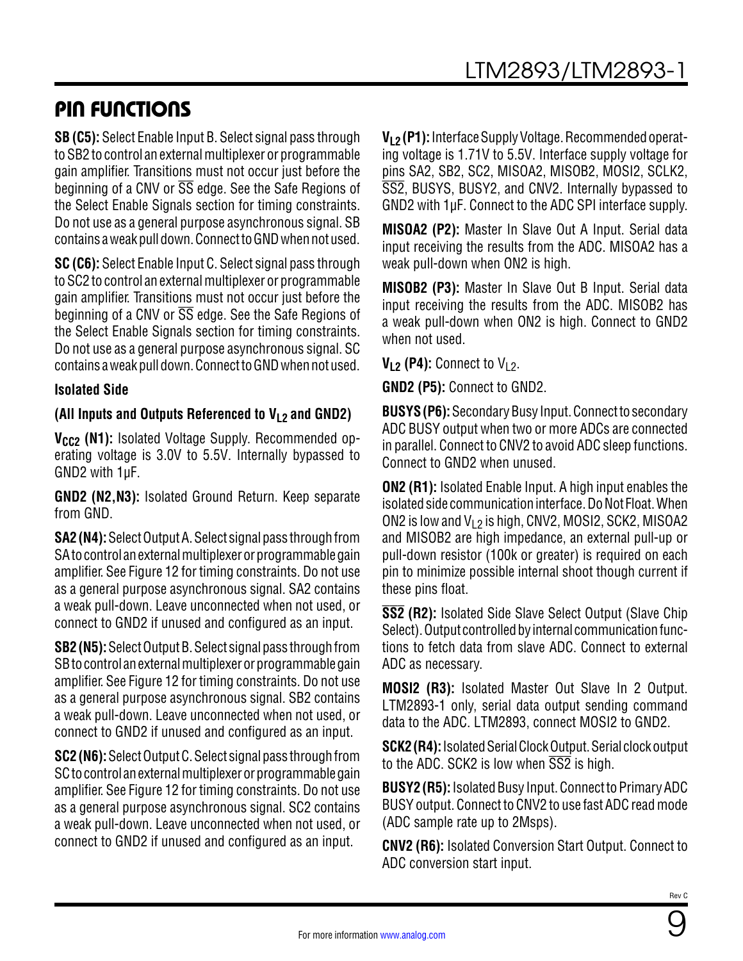### PIN FUNCTIONS

**SB (C5):** Select Enable Input B. Select signal pass through to SB2 to control an external multiplexer or programmable gain amplifier. Transitions must not occur just before the beginning of a CNV or  $\overline{SS}$  edge. See the [Safe Regions of](#page-23-0) [the Select Enable Signals](#page-23-0) section for timing constraints. Do not use as a general purpose asynchronous signal. SB contains a weak pull down. Connect to GND when not used.

**SC (C6):** Select Enable Input C. Select signal pass through to SC2 to control an external multiplexer or programmable gain amplifier. Transitions must not occur just before the beginning of a CNV or SS edge. See the [Safe Regions of](#page-23-0) [the Select Enable Signals](#page-23-0) section for timing constraints. Do not use as a general purpose asynchronous signal. SC contains a weak pull down. Connect to GND when not used.

#### **Isolated Side**

#### **(All Inputs and Outputs Referenced to VL2 and GND2)**

V<sub>CC2</sub> (N1): Isolated Voltage Supply. Recommended operating voltage is 3.0V to 5.5V. Internally bypassed to GND2 with 1µF.

**GND2 (N2,N3):** Isolated Ground Return. Keep separate from GND.

**SA2 (N4):** Select Output A. Select signal pass through from SA to control an external multiplexer or programmable gain amplifier. See [Figure 12](#page-23-1) for timing constraints. Do not use as a general purpose asynchronous signal. SA2 contains a weak pull-down. Leave unconnected when not used, or connect to GND2 if unused and configured as an input.

**SB2 (N5):** Select Output B. Select signal pass through from SB to control an external multiplexer or programmable gain amplifier. See [Figure 12](#page-23-1) for timing constraints. Do not use as a general purpose asynchronous signal. SB2 contains a weak pull-down. Leave unconnected when not used, or connect to GND2 if unused and configured as an input.

**SC2 (N6):** Select Output C. Select signal pass through from SC to control an external multiplexer or programmable gain amplifier. See [Figure 12](#page-23-1) for timing constraints. Do not use as a general purpose asynchronous signal. SC2 contains a weak pull-down. Leave unconnected when not used, or connect to GND2 if unused and configured as an input.

**VL2 (P1):** Interface Supply Voltage. Recommended operating voltage is 1.71V to 5.5V. Interface supply voltage for pins SA2, SB2, SC2, MISOA2, MISOB2, MOSI2, SCLK2, SS2, BUSYS, BUSY2, and CNV2. Internally bypassed to GND2 with 1µF. Connect to the ADC SPI interface supply.

**MISOA2 (P2):** Master In Slave Out A Input. Serial data input receiving the results from the ADC. MISOA2 has a weak pull-down when ON2 is high.

**MISOB2 (P3):** Master In Slave Out B Input. Serial data input receiving the results from the ADC. MISOB2 has a weak pull-down when ON2 is high. Connect to GND2 when not used.

 $V_{L2}$  (P4): Connect to  $V_{L2}$ .

**GND2 (P5):** Connect to GND2.

**BUSYS (P6):** Secondary Busy Input. Connect to secondary ADC BUSY output when two or more ADCs are connected in parallel. Connect to CNV2 to avoid ADC sleep functions. Connect to GND2 when unused.

**ON2 (R1):** Isolated Enable Input. A high input enables the isolated side communication interface. Do Not Float. When ON2 is low and  $V_1$ <sub>2</sub> is high, CNV2, MOSI2, SCK2, MISOA2 and MISOB2 are high impedance, an external pull-up or pull-down resistor (100k or greater) is required on each pin to minimize possible internal shoot though current if these pins float.

**SS2 (R2):** Isolated Side Slave Select Output (Slave Chip Select). Output controlled by internal communication functions to fetch data from slave ADC. Connect to external ADC as necessary.

**MOSI2 (R3):** Isolated Master Out Slave In 2 Output. LTM2893-1 only, serial data output sending command data to the ADC. LTM2893, connect MOSI2 to GND2.

**SCK2 (R4):** Isolated Serial Clock Output. Serial clock output to the ADC. SCK2 is low when SS2 is high.

**BUSY2 (R5):** Isolated Busy Input. Connect to Primary ADC BUSY output. Connect to CNV2 to use fast ADC read mode (ADC sample rate up to 2Msps).

**CNV2 (R6):** Isolated Conversion Start Output. Connect to ADC conversion start input.

9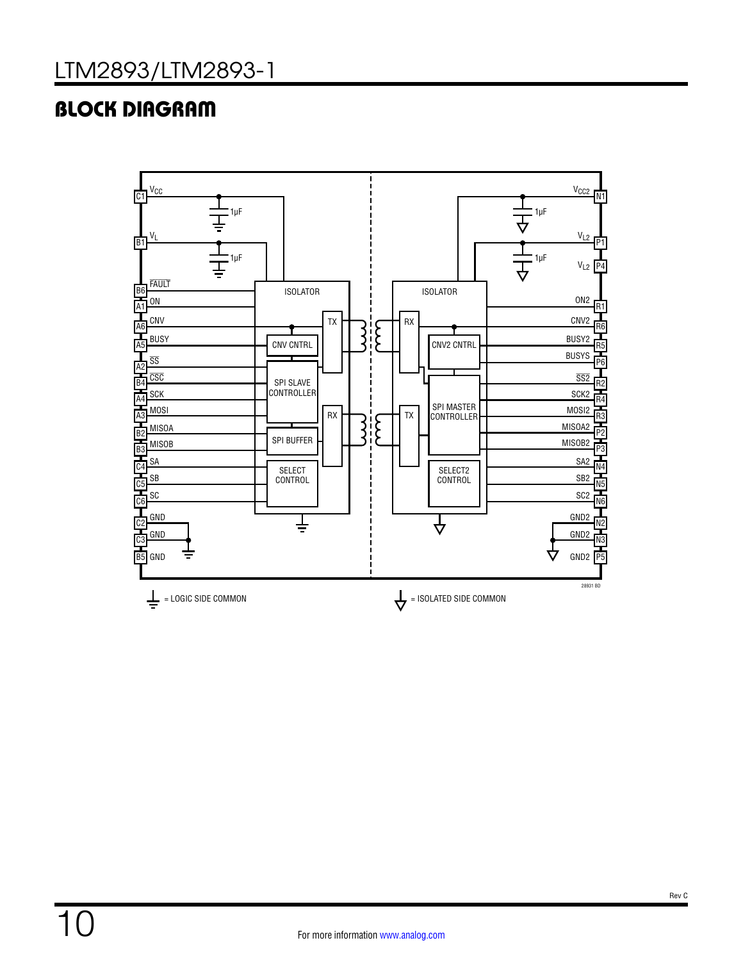# BLOCK DIAGRAM

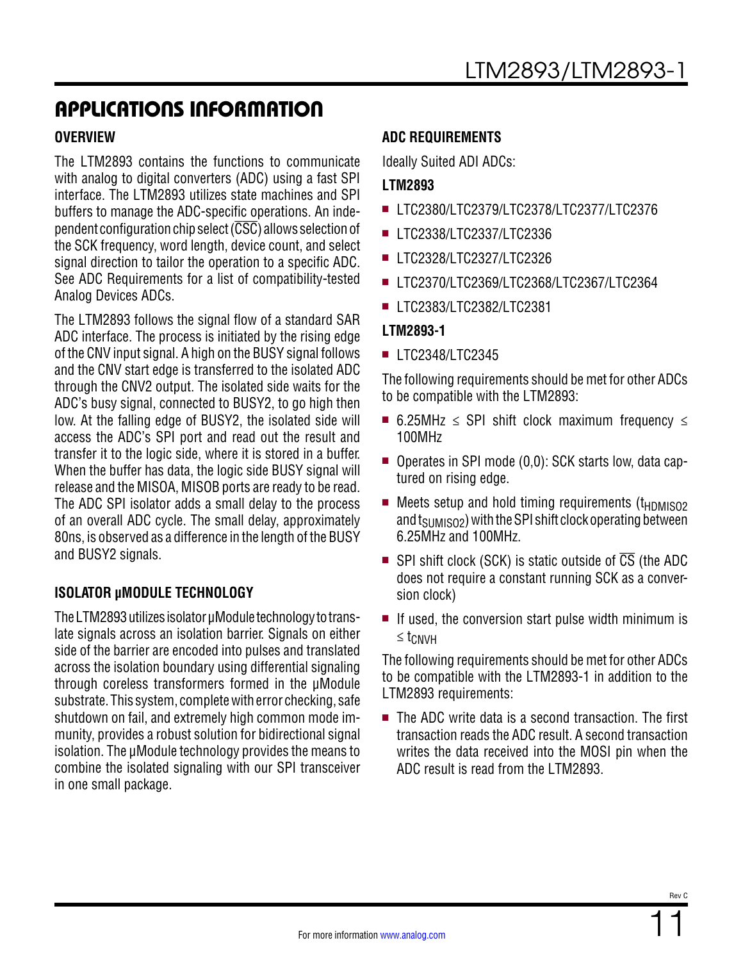#### **OVERVIEW**

The LTM2893 contains the functions to communicate with analog to digital converters (ADC) using a fast SPI interface. The LTM2893 utilizes state machines and SPI buffers to manage the ADC-specific operations. An independent configuration chip select  $(\overline{CSC})$  allows selection of the SCK frequency, word length, device count, and select signal direction to tailor the operation to a specific ADC. See ADC Requirements for a list of compatibility-tested Analog Devices ADCs.

The LTM2893 follows the signal flow of a standard SAR ADC interface. The process is initiated by the rising edge of the CNV input signal. A high on the BUSY signal follows and the CNV start edge is transferred to the isolated ADC through the CNV2 output. The isolated side waits for the ADC's busy signal, connected to BUSY2, to go high then low. At the falling edge of BUSY2, the isolated side will access the ADC's SPI port and read out the result and transfer it to the logic side, where it is stored in a buffer. When the buffer has data, the logic side BUSY signal will release and the MISOA, MISOB ports are ready to be read. The ADC SPI isolator adds a small delay to the process of an overall ADC cycle. The small delay, approximately 80ns, is observed as a difference in the length of the BUSY and BUSY2 signals.

#### **ISOLATOR µMODULE TECHNOLOGY**

The LTM2893 utilizes isolator μModule technology to translate signals across an isolation barrier. Signals on either side of the barrier are encoded into pulses and translated across the isolation boundary using differential signaling through coreless transformers formed in the μModule substrate. This system, complete with error checking, safe shutdown on fail, and extremely high common mode immunity, provides a robust solution for bidirectional signal isolation. The μModule technology provides the means to combine the isolated signaling with our SPI transceiver in one small package.

#### **ADC REQUIREMENTS**

Ideally Suited ADI ADCs:

#### **LTM2893**

- <sup>n</sup> LTC2380/LTC2379/LTC2378/LTC2377/LTC2376
- LTC2338/LTC2337/LTC2336
- LTC2328/LTC2327/LTC2326
- <sup>n</sup> LTC2370/LTC2369/LTC2368/LTC2367/LTC2364
- LTC2383/LTC2382/LTC2381

#### **LTM2893-1**

**LTC2348/LTC2345** 

The following requirements should be met for other ADCs to be compatible with the LTM2893:

- 6.25MHz  $\le$  SPI shift clock maximum frequency  $\le$ 100MHz
- Operates in SPI mode (0,0): SCK starts low, data captured on rising edge.
- $\blacksquare$  Meets setup and hold timing requirements (t<sub>HDMISO2</sub>) and  $t_{\text{SIMISO2}}$ ) with the SPI shift clock operating between 6.25MHz and 100MHz.
- **SPI** shift clock (SCK) is static outside of  $\overline{CS}$  (the ADC does not require a constant running SCK as a conversion clock)
- $\blacksquare$  If used, the conversion start pulse width minimum is ≤ tCNVH

The following requirements should be met for other ADCs to be compatible with the LTM2893-1 in addition to the LTM2893 requirements:

 $\blacksquare$  The ADC write data is a second transaction. The first transaction reads the ADC result. A second transaction writes the data received into the MOSI pin when the ADC result is read from the LTM2893.

Rev C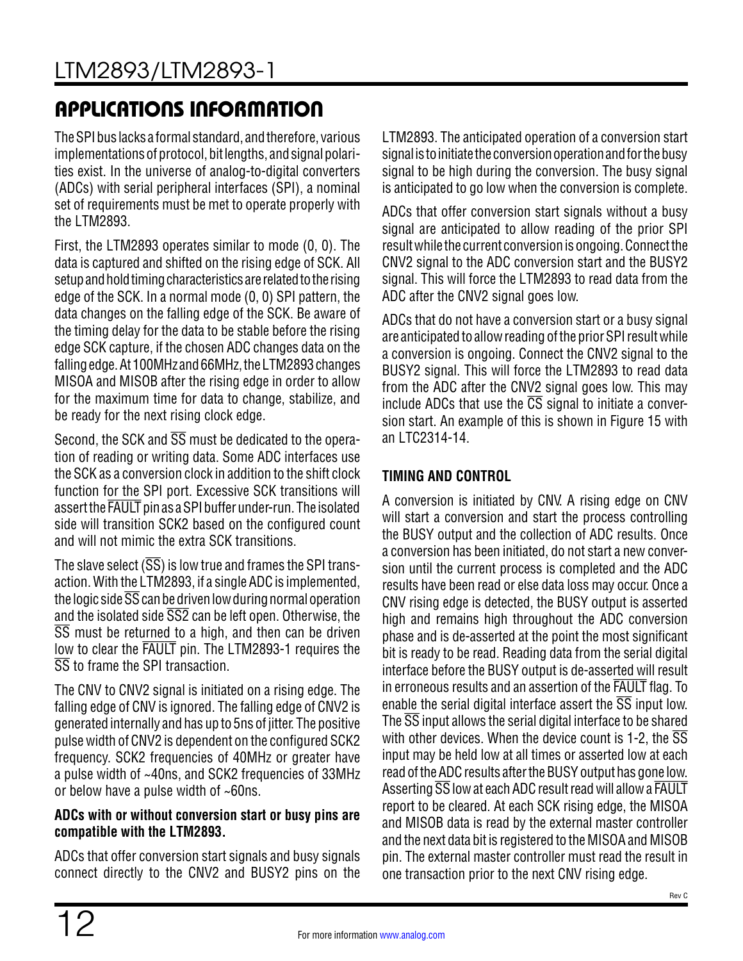The SPI bus lacks a formal standard, and therefore, various implementations of protocol, bit lengths, and signal polarities exist. In the universe of analog-to-digital converters (ADCs) with serial peripheral interfaces (SPI), a nominal set of requirements must be met to operate properly with the LTM2893.

First, the LTM2893 operates similar to mode (0, 0). The data is captured and shifted on the rising edge of SCK. All setup and hold timing characteristics are related to the rising edge of the SCK. In a normal mode (0, 0) SPI pattern, the data changes on the falling edge of the SCK. Be aware of the timing delay for the data to be stable before the rising edge SCK capture, if the chosen ADC changes data on the falling edge. At 100MHz and 66MHz, the LTM2893 changes MISOA and MISOB after the rising edge in order to allow for the maximum time for data to change, stabilize, and be ready for the next rising clock edge.

Second, the SCK and  $\overline{SS}$  must be dedicated to the operation of reading or writing data. Some ADC interfaces use the SCK as a conversion clock in addition to the shift clock function for the SPI port. Excessive SCK transitions will assert the FAULT pin as a SPI buffer under-run. The isolated side will transition SCK2 based on the configured count and will not mimic the extra SCK transitions.

The slave select  $(\overline{SS})$  is low true and frames the SPI transaction. With the LTM2893, if a single ADC is implemented, the logic side  $\overline{\text{SS}}$  can be driven low during normal operation and the isolated side  $\overline{\text{SS2}}$  can be left open. Otherwise, the SS must be returned to a high, and then can be driven low to clear the FAULT pin. The LTM2893-1 requires the SS to frame the SPI transaction.

The CNV to CNV2 signal is initiated on a rising edge. The falling edge of CNV is ignored. The falling edge of CNV2 is generated internally and has up to 5ns of jitter. The positive pulse width of CNV2 is dependent on the configured SCK2 frequency. SCK2 frequencies of 40MHz or greater have a pulse width of ~40ns, and SCK2 frequencies of 33MHz or below have a pulse width of ~60ns.

#### **ADCs with or without conversion start or busy pins are compatible with the LTM2893.**

ADCs that offer conversion start signals and busy signals connect directly to the CNV2 and BUSY2 pins on the LTM2893. The anticipated operation of a conversion start signal is to initiate the conversion operation and for the busy signal to be high during the conversion. The busy signal is anticipated to go low when the conversion is complete.

ADCs that offer conversion start signals without a busy signal are anticipated to allow reading of the prior SPI result while the current conversion is ongoing. Connect the CNV2 signal to the ADC conversion start and the BUSY2 signal. This will force the LTM2893 to read data from the ADC after the CNV2 signal goes low.

ADCs that do not have a conversion start or a busy signal are anticipated to allow reading of the prior SPI result while a conversion is ongoing. Connect the CNV2 signal to the BUSY2 signal. This will force the LTM2893 to read data from the ADC after the CNV2 signal goes low. This may include ADCs that use the  $\overline{CS}$  signal to initiate a conversion start. An example of this is shown in [Figure 15](#page-25-0) with an LTC2314-14.

### **TIMING AND CONTROL**

A conversion is initiated by CNV. A rising edge on CNV will start a conversion and start the process controlling the BUSY output and the collection of ADC results. Once a conversion has been initiated, do not start a new conversion until the current process is completed and the ADC results have been read or else data loss may occur. Once a CNV rising edge is detected, the BUSY output is asserted high and remains high throughout the ADC conversion phase and is de-asserted at the point the most significant bit is ready to be read. Reading data from the serial digital interface before the BUSY output is de-asserted will result in erroneous results and an assertion of the FAULT flag. To enable the serial digital interface assert the  $\overline{\text{SS}}$  input low. The SS input allows the serial digital interface to be shared with other devices. When the device count is 1-2, the  $\overline{\text{SS}}$ input may be held low at all times or asserted low at each read of the ADC results after the BUSY output has gone low. Asserting SS low at each ADC result read will allow a FAULT report to be cleared. At each SCK rising edge, the MISOA and MISOB data is read by the external master controller and the next data bit is registered to the MISOA and MISOB pin. The external master controller must read the result in one transaction prior to the next CNV rising edge.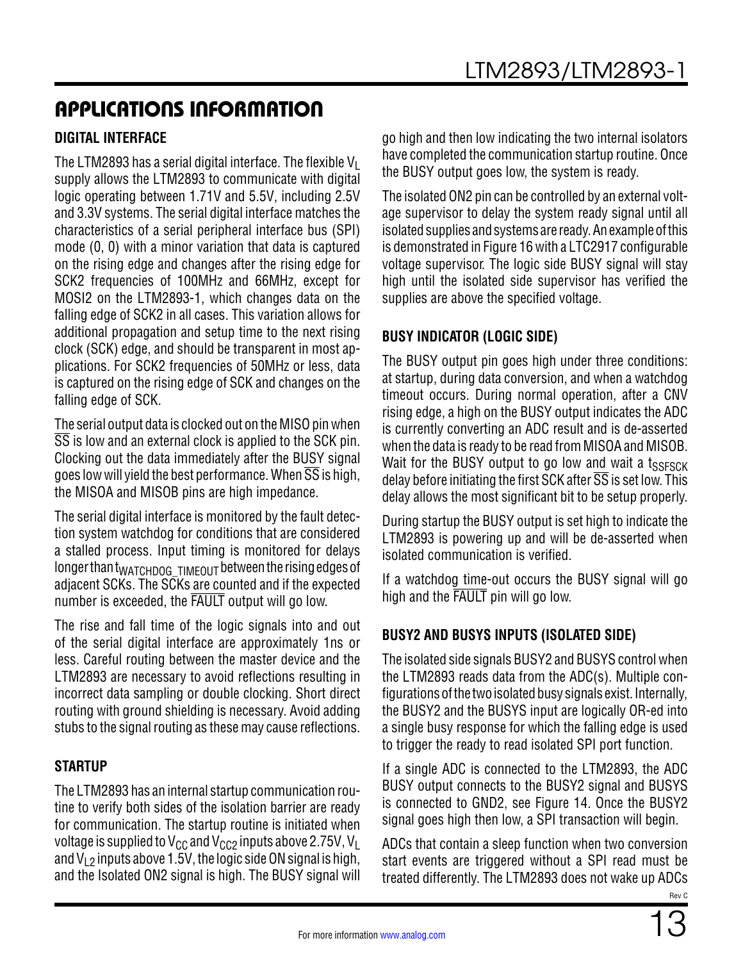### **DIGITAL INTERFACE**

The LTM2893 has a serial digital interface. The flexible  $V_1$ supply allows the LTM2893 to communicate with digital logic operating between 1.71V and 5.5V, including 2.5V and 3.3V systems. The serial digital interface matches the characteristics of a serial peripheral interface bus (SPI) mode (0, 0) with a minor variation that data is captured on the rising edge and changes after the rising edge for SCK2 frequencies of 100MHz and 66MHz, except for MOSI2 on the LTM2893-1, which changes data on the falling edge of SCK2 in all cases. This variation allows for additional propagation and setup time to the next rising clock (SCK) edge, and should be transparent in most applications. For SCK2 frequencies of 50MHz or less, data is captured on the rising edge of SCK and changes on the falling edge of SCK.

The serial output data is clocked out on the MISO pin when SS is low and an external clock is applied to the SCK pin. Clocking out the data immediately after the BUSY signal goes low will yield the best performance. When  $\overline{\text{SS}}$  is high, the MISOA and MISOB pins are high impedance.

The serial digital interface is monitored by the fault detection system watchdog for conditions that are considered a stalled process. Input timing is monitored for delays longer than t<sub>WATCHDOG</sub> TIMEOUT between the rising edges of adjacent SCKs. The SCKs are counted and if the expected number is exceeded, the FAULT output will go low.

The rise and fall time of the logic signals into and out of the serial digital interface are approximately 1ns or less. Careful routing between the master device and the LTM2893 are necessary to avoid reflections resulting in incorrect data sampling or double clocking. Short direct routing with ground shielding is necessary. Avoid adding stubs to the signal routing as these may cause reflections.

#### **STARTUP**

The LTM2893 has an internal startup communication routine to verify both sides of the isolation barrier are ready for communication. The startup routine is initiated when voltage is supplied to  $V_{CC}$  and  $V_{CC}$  inputs above 2.75V, V<sub>L</sub> and  $V_1$ <sub>2</sub> inputs above 1.5V, the logic side ON signal is high, and the Isolated ON2 signal is high. The BUSY signal will

go high and then low indicating the two internal isolators have completed the communication startup routine. Once the BUSY output goes low, the system is ready.

The isolated ON2 pin can be controlled by an external voltage supervisor to delay the system ready signal until all isolated supplies and systems are ready. An example of this is demonstrated in [Figure 16](#page-26-0) with a LTC2917 configurable voltage supervisor. The logic side BUSY signal will stay high until the isolated side supervisor has verified the supplies are above the specified voltage.

#### **BUSY INDICATOR (LOGIC SIDE)**

The BUSY output pin goes high under three conditions: at startup, during data conversion, and when a watchdog timeout occurs. During normal operation, after a CNV rising edge, a high on the BUSY output indicates the ADC is currently converting an ADC result and is de-asserted when the data is ready to be read from MISOA and MISOB. Wait for the BUSY output to go low and wait a  $t_{SSESCK}$ delay before initiating the first SCK after  $\overline{SS}$  is set low. This delay allows the most significant bit to be setup properly.

During startup the BUSY output is set high to indicate the LTM2893 is powering up and will be de-asserted when isolated communication is verified.

If a watchdog time-out occurs the BUSY signal will go high and the FAULT pin will go low.

### **BUSY2 AND BUSYS INPUTS (ISOLATED SIDE)**

The isolated side signals BUSY2 and BUSYS control when the LTM2893 reads data from the ADC(s). Multiple configurations of the two isolated busy signals exist. Internally, the BUSY2 and the BUSYS input are logically OR-ed into a single busy response for which the falling edge is used to trigger the ready to read isolated SPI port function.

If a single ADC is connected to the LTM2893, the ADC BUSY output connects to the BUSY2 signal and BUSYS is connected to GND2, see [Figure 14](#page-24-0). Once the BUSY2 signal goes high then low, a SPI transaction will begin.

ADCs that contain a sleep function when two conversion start events are triggered without a SPI read must be treated differently. The LTM2893 does not wake up ADCs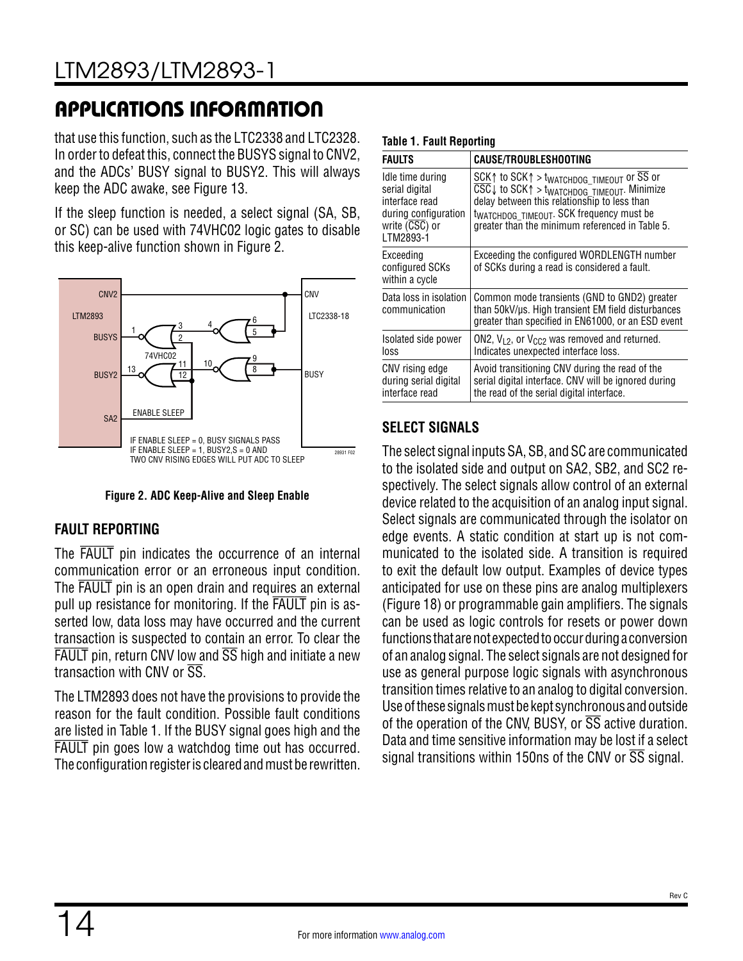that use this function, such as the LTC2338 and LTC2328. In order to defeat this, connect the BUSYS signal to CNV2, and the ADCs' BUSY signal to BUSY2. This will always keep the ADC awake, see [Figure 13.](#page-24-1)

If the sleep function is needed, a select signal (SA, SB, or SC) can be used with 74VHC02 logic gates to disable this keep-alive function shown in [Figure 2.](#page-13-0)



<span id="page-13-0"></span>**Figure 2. ADC Keep-Alive and Sleep Enable**

### **FAULT REPORTING**

The FAULT pin indicates the occurrence of an internal communication error or an erroneous input condition. The FAULT pin is an open drain and requires an external pull up resistance for monitoring. If the FAULT pin is asserted low, data loss may have occurred and the current transaction is suspected to contain an error. To clear the  $F\overline{A}}$ ULT pin, return CNV low and  $\overline{SS}$  high and initiate a new transaction with CNV or  $\overline{\text{SS}}$ .

The LTM2893 does not have the provisions to provide the reason for the fault condition. Possible fault conditions are listed in [Table 1](#page-13-1). If the BUSY signal goes high and the FAULT pin goes low a watchdog time out has occurred. The configuration register is cleared and must be rewritten.

#### <span id="page-13-1"></span>**Table 1. Fault Reporting**

| FAULTS                                                                                                                     | CAUSE/TROUBLESHOOTING                                                                                                                                                                                                                                                                                            |
|----------------------------------------------------------------------------------------------------------------------------|------------------------------------------------------------------------------------------------------------------------------------------------------------------------------------------------------------------------------------------------------------------------------------------------------------------|
| Idle time during<br>serial digital<br>interface read<br>during configuration<br>write $( \overline{CSC} )$ or<br>LTM2893-1 | SCK $\uparrow$ to SCK $\uparrow$ > t <sub>WATCHDOG</sub> TIMEOUT OF SS or<br>$\overline{\text{CSC}}$ to SCK $\uparrow$ > t <sub>WATCHDOG_TIMEOUT</sub> . Minimize<br>delay between this relationship to less than<br>twatchbog_timeout. SCK frequency must be<br>greater than the minimum referenced in Table 5. |
| Exceeding<br>configured SCKs<br>within a cycle                                                                             | Exceeding the configured WORDLENGTH number<br>of SCKs during a read is considered a fault.                                                                                                                                                                                                                       |
| Data loss in isolation<br>communication                                                                                    | Common mode transients (GND to GND2) greater<br>than 50kV/us. High transient EM field disturbances<br>greater than specified in EN61000, or an ESD event                                                                                                                                                         |
| Isolated side power<br>loss                                                                                                | ON2, $V_{1,2}$ , or $V_{CC2}$ was removed and returned.<br>Indicates unexpected interface loss.                                                                                                                                                                                                                  |
| CNV rising edge<br>during serial digital<br>interface read                                                                 | Avoid transitioning CNV during the read of the<br>serial digital interface. CNV will be ignored during<br>the read of the serial digital interface.                                                                                                                                                              |

### **SELECT SIGNALS**

The select signal inputs SA, SB, and SC are communicated to the isolated side and output on SA2, SB2, and SC2 respectively. The select signals allow control of an external device related to the acquisition of an analog input signal. Select signals are communicated through the isolator on edge events. A static condition at start up is not communicated to the isolated side. A transition is required to exit the default low output. Examples of device types anticipated for use on these pins are analog multiplexers ([Figure 18](#page-27-0)) or programmable gain amplifiers. The signals can be used as logic controls for resets or power down functions that are not expected to occur during a conversion of an analog signal. The select signals are not designed for use as general purpose logic signals with asynchronous transition times relative to an analog to digital conversion. Use of these signals must be kept synchronous and outside of the operation of the CNV, BUSY, or  $\overline{SS}$  active duration. Data and time sensitive information may be lost if a select signal transitions within 150ns of the CNV or  $\overline{SS}$  signal.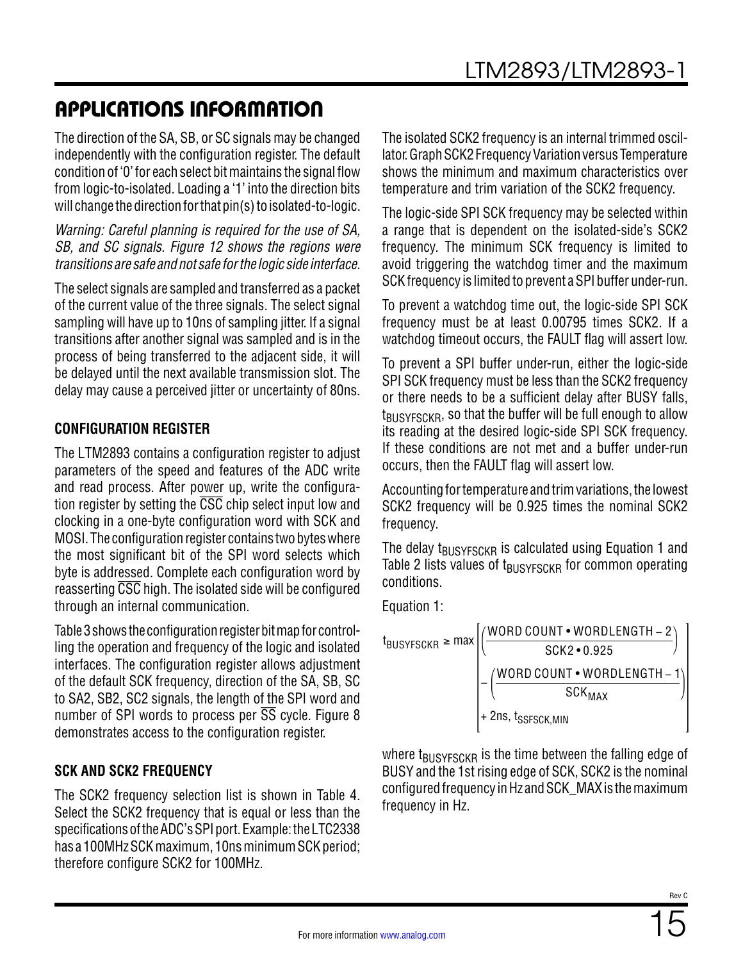The direction of the SA, SB, or SC signals may be changed independently with the configuration register. The default condition of '0' for each select bit maintains the signal flow from logic-to-isolated. Loading a '1' into the direction bits will change the direction for that pin(s) to isolated-to-logic.

*Warning: Careful planning is required for the use of SA, SB, and SC signals. [Figure 12](#page-23-1) shows the regions were transitions are safe and not safe for the logic side interface.* 

The select signals are sampled and transferred as a packet of the current value of the three signals. The select signal sampling will have up to 10ns of sampling jitter. If a signal transitions after another signal was sampled and is in the process of being transferred to the adjacent side, it will be delayed until the next available transmission slot. The delay may cause a perceived jitter or uncertainty of 80ns.

### <span id="page-14-0"></span>**CONFIGURATION REGISTER**

The LTM2893 contains a configuration register to adjust parameters of the speed and features of the ADC write and read process. After power up, write the configuration register by setting the CSC chip select input low and clocking in a one-byte configuration word with SCK and MOSI. The configuration register contains two bytes where the most significant bit of the SPI word selects which byte is addressed. Complete each configuration word by reasserting  $\overline{\text{CSC}}$  high. The isolated side will be configured through an internal communication.

[Table 3](#page-18-1) shows the configuration register bit map for controlling the operation and frequency of the logic and isolated interfaces. The configuration register allows adjustment of the default SCK frequency, direction of the SA, SB, SC to SA2, SB2, SC2 signals, the length of the SPI word and number of SPI words to process per  $\overline{SS}$  cycle. Figure 8 demonstrates access to the configuration register.

#### **SCK AND SCK2 FREQUENCY**

The SCK2 frequency selection list is shown in [Table 4](#page-18-2). Select the SCK2 frequency that is equal or less than the specifications of the ADC's SPI port. Example: the LTC2338 has a 100MHz SCK maximum, 10ns minimum SCK period; therefore configure SCK2 for 100MHz.

The isolated SCK2 frequency is an internal trimmed oscillator. Graph SCK2 Frequency Variation versus Temperature shows the minimum and maximum characteristics over temperature and trim variation of the SCK2 frequency.

The logic-side SPI SCK frequency may be selected within a range that is dependent on the isolated-side's SCK2 frequency. The minimum SCK frequency is limited to avoid triggering the watchdog timer and the maximum SCK frequency is limited to prevent a SPI buffer under-run.

To prevent a watchdog time out, the logic-side SPI SCK frequency must be at least 0.00795 times SCK2. If a watchdog timeout occurs, the FAULT flag will assert low.

To prevent a SPI buffer under-run, either the logic-side SPI SCK frequency must be less than the SCK2 frequency or there needs to be a sufficient delay after BUSY falls,  $t_{\text{BUSYFSCKB}}$ , so that the buffer will be full enough to allow its reading at the desired logic-side SPI SCK frequency. If these conditions are not met and a buffer under-run occurs, then the FAULT flag will assert low.

Accounting for temperature and trim variations, the lowest SCK2 frequency will be 0.925 times the nominal SCK2 frequency.

The delay t<sub>BUSYFSCKR</sub> is calculated using [Equation 1](#page-14-1) and [Table 2](#page-15-0) lists values of  $t_{\text{BUSYFSCKR}}$  for common operating conditions.

<span id="page-14-1"></span>Equation 1:



where  $t_{\text{BUSYESCKB}}$  is the time between the falling edge of BUSY and the 1st rising edge of SCK, SCK2 is the nominal configured frequency in Hz and SCK\_MAX is the maximum frequency in Hz.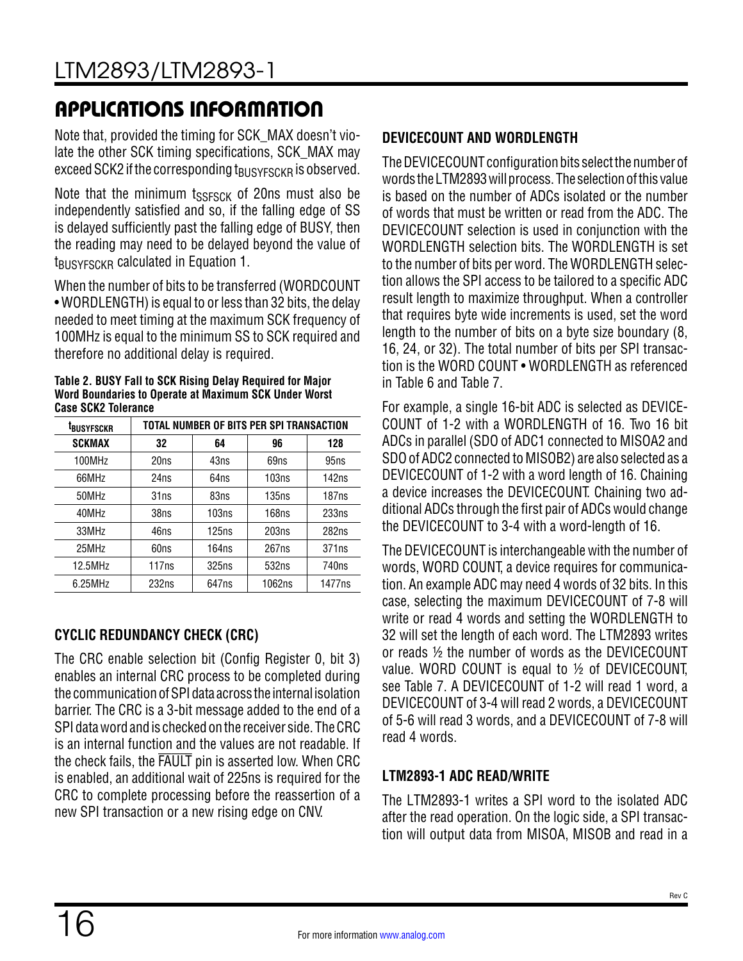Note that, provided the timing for SCK\_MAX doesn't violate the other SCK timing specifications, SCK\_MAX may exceed SCK2 if the corresponding  $t_{\text{BUSYFSCKR}}$  is observed.

Note that the minimum  $t_{SSEGK}$  of 20ns must also be independently satisfied and so, if the falling edge of SS is delayed sufficiently past the falling edge of BUSY, then the reading may need to be delayed beyond the value of  $t_{\text{BUSYESCKR}}$  calculated in [Equation 1](#page-14-1).

When the number of bits to be transferred (WORDCOUNT • WORDLENGTH) is equal to or less than 32 bits, the delay needed to meet timing at the maximum SCK frequency of 100MHz is equal to the minimum SS to SCK required and therefore no additional delay is required.

<span id="page-15-0"></span>**Table 2. BUSY Fall to SCK Rising Delay Required for Major Word Boundaries to Operate at Maximum SCK Under Worst Case SCK2 Tolerance**

| <sup>t</sup> busyfsckr | TOTAL NUMBER OF BITS PER SPI TRANSACTION |       |        |                   |  |  |
|------------------------|------------------------------------------|-------|--------|-------------------|--|--|
| <b>SCKMAX</b>          | 32                                       | 64    | 96     | 128               |  |  |
| 100MHz                 | 20ns                                     | 43ns  | 69ns   | 95ns              |  |  |
| 66MHz                  | 24ns                                     | 64ns  | 103ns  | 142ns             |  |  |
| 50MHz                  | 31ns                                     | 83ns  | 135ns  | 187ns             |  |  |
| 40MHz                  | 38ns                                     | 103ns | 168ns  | 233ns             |  |  |
| 33MHz                  | 46ns                                     | 125ns | 203ns  | 282ns             |  |  |
| 25MHz                  | 60ns                                     | 164ns | 267ns  | 371 <sub>ns</sub> |  |  |
| 12.5MHz                | 117ns                                    | 325ns | 532ns  | 740 <sub>ns</sub> |  |  |
| $6.25$ MHz             | 232ns                                    | 647ns | 1062ns | 1477ns            |  |  |

### **CYCLIC REDUNDANCY CHECK (CRC)**

The CRC enable selection bit (Config Register 0, bit 3) enables an internal CRC process to be completed during the communication of SPI data across the internal isolation barrier. The CRC is a 3-bit message added to the end of a SPI data word and is checked on the receiver side. The CRC is an internal function and the values are not readable. If the check fails, the FAULT pin is asserted low. When CRC is enabled, an additional wait of 225ns is required for the CRC to complete processing before the reassertion of a new SPI transaction or a new rising edge on CNV.

### **DEVICECOUNT AND WORDLENGTH**

The DEVICECOUNT configuration bits select the number of words the LTM2893 will process. The selection of this value is based on the number of ADCs isolated or the number of words that must be written or read from the ADC. The DEVICECOUNT selection is used in conjunction with the WORDLENGTH selection bits. The WORDLENGTH is set to the number of bits per word. The WORDLENGTH selection allows the SPI access to be tailored to a specific ADC result length to maximize throughput. When a controller that requires byte wide increments is used, set the word length to the number of bits on a byte size boundary (8, 16, 24, or 32). The total number of bits per SPI transaction is the WORD COUNT • WORDLENGTH as referenced in [Table 6](#page-18-3) and [Table 7.](#page-19-0)

For example, a single 16-bit ADC is selected as DEVICE-COUNT of 1-2 with a WORDLENGTH of 16. Two 16 bit ADCs in parallel (SDO of ADC1 connected to MISOA2 and SDO of ADC2 connected to MISOB2) are also selected as a DEVICECOUNT of 1-2 with a word length of 16. Chaining a device increases the DEVICECOUNT. Chaining two additional ADCs through the first pair of ADCs would change the DEVICECOUNT to 3-4 with a word-length of 16.

The DEVICECOUNT is interchangeable with the number of words, WORD COUNT, a device requires for communication. An example ADC may need 4 words of 32 bits. In this case, selecting the maximum DEVICECOUNT of 7-8 will write or read 4 words and setting the WORDLENGTH to 32 will set the length of each word. The LTM2893 writes or reads ½ the number of words as the DEVICECOUNT value. WORD COUNT is equal to ½ of DEVICECOUNT, see [Table 7.](#page-19-0) A DEVICECOUNT of 1-2 will read 1 word, a DEVICECOUNT of 3-4 will read 2 words, a DEVICECOUNT of 5-6 will read 3 words, and a DEVICECOUNT of 7-8 will read 4 words.

### **LTM2893-1 ADC READ/WRITE**

The LTM2893-1 writes a SPI word to the isolated ADC after the read operation. On the logic side, a SPI transaction will output data from MISOA, MISOB and read in a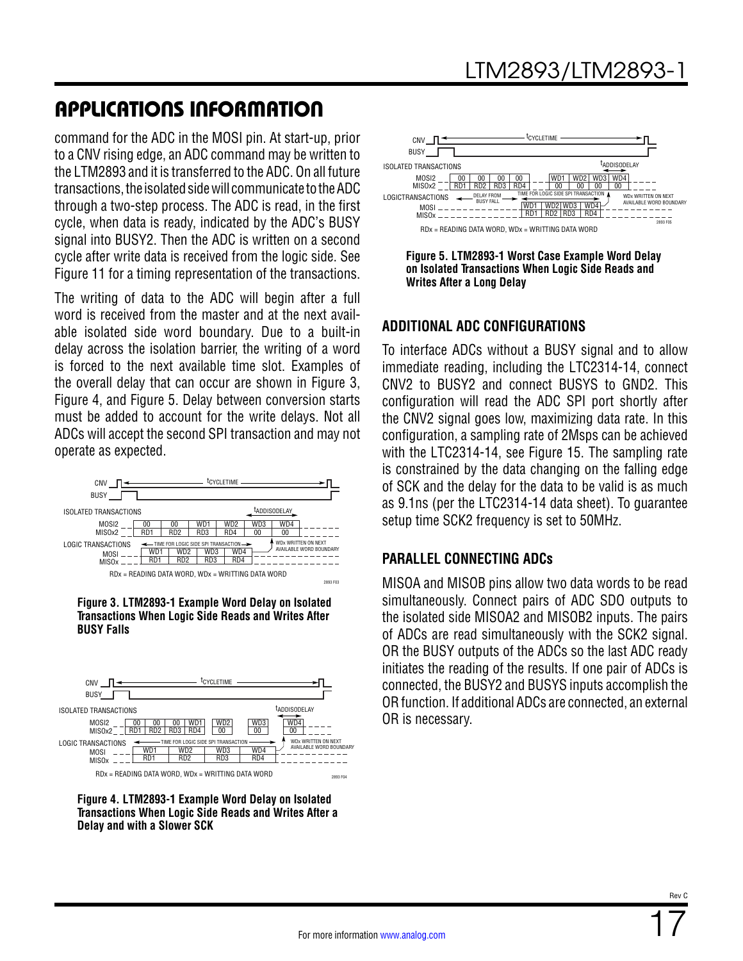command for the ADC in the MOSI pin. At start-up, prior to a CNV rising edge, an ADC command may be written to the LTM2893 and it is transferred to the ADC. On all future transactions, the isolated side will communicate to the ADC through a two-step process. The ADC is read, in the first cycle, when data is ready, indicated by the ADC's BUSY signal into BUSY2. Then the ADC is written on a second cycle after write data is received from the logic side. See [Figure 11](#page-23-2) for a timing representation of the transactions.

The writing of data to the ADC will begin after a full word is received from the master and at the next available isolated side word boundary. Due to a built-in delay across the isolation barrier, the writing of a word is forced to the next available time slot. Examples of the overall delay that can occur are shown in [Figure 3](#page-16-0), [Figure 4,](#page-16-1) and [Figure 5](#page-16-2). Delay between conversion starts must be added to account for the write delays. Not all ADCs will accept the second SPI transaction and may not operate as expected.



<span id="page-16-0"></span>



<span id="page-16-1"></span>



<span id="page-16-2"></span>**Figure 5. LTM2893-1 Worst Case Example Word Delay on Isolated Transactions When Logic Side Reads and Writes After a Long Delay**

#### **ADDITIONAL ADC CONFIGURATIONS**

To interface ADCs without a BUSY signal and to allow immediate reading, including the LTC2314-14, connect CNV2 to BUSY2 and connect BUSYS to GND2. This configuration will read the ADC SPI port shortly after the CNV2 signal goes low, maximizing data rate. In this configuration, a sampling rate of 2Msps can be achieved with the LTC2314-14, see [Figure 15.](#page-25-0) The sampling rate is constrained by the data changing on the falling edge of SCK and the delay for the data to be valid is as much as 9.1ns (per the LTC2314-14 data sheet). To guarantee setup time SCK2 frequency is set to 50MHz.

#### **PARALLEL CONNECTING ADCs**

MISOA and MISOB pins allow two data words to be read simultaneously. Connect pairs of ADC SDO outputs to the isolated side MISOA2 and MISOB2 inputs. The pairs of ADCs are read simultaneously with the SCK2 signal. OR the BUSY outputs of the ADCs so the last ADC ready initiates the reading of the results. If one pair of ADCs is connected, the BUSY2 and BUSYS inputs accomplish the OR function. If additional ADCs are connected, an external OR is necessary.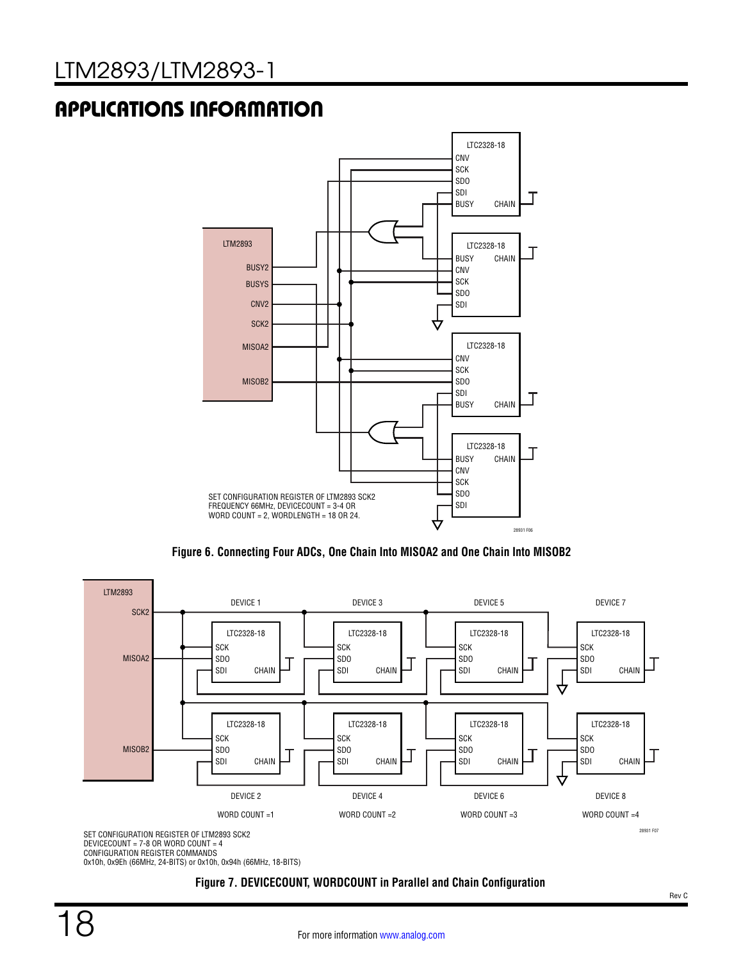

<span id="page-17-0"></span>**Figure 6. Connecting Four ADCs, One Chain Into MISOA2 and One Chain Into MISOB2**



0x10h, 0x9Eh (66MHz, 24-BITS) or 0x10h, 0x94h (66MHz, 18-BITS)

#### **Figure 7. DEVICECOUNT, WORDCOUNT in Parallel and Chain Configuration**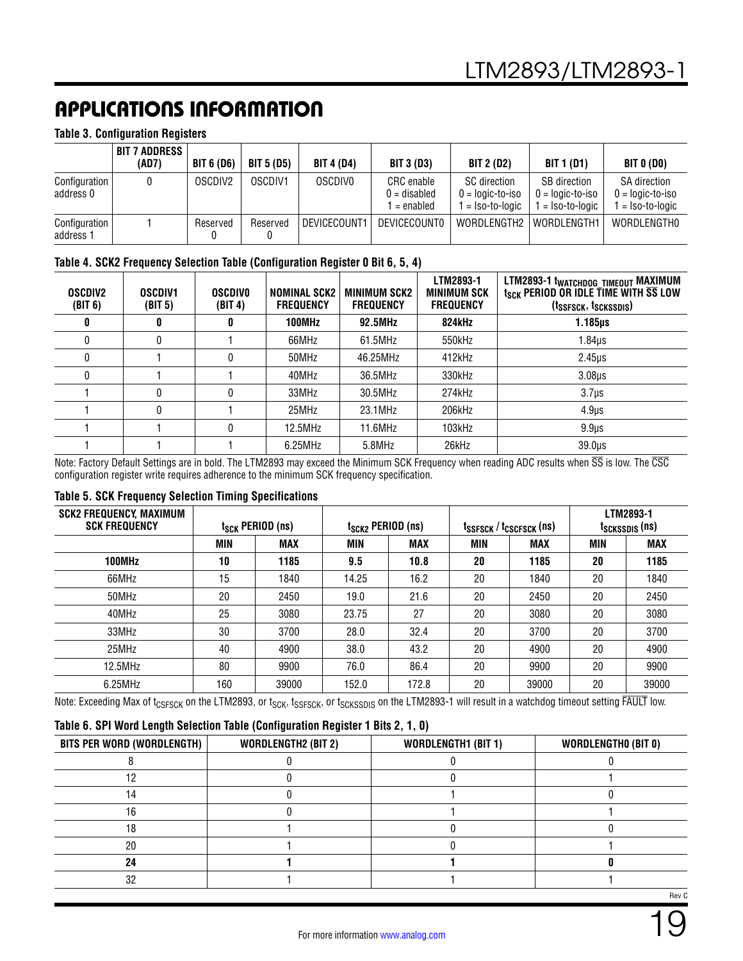#### <span id="page-18-1"></span>**Table 3. Configuration Registers**

|                            | BIT 7 ADDRESS<br>(AD7) | <b>BIT 6 (D6)</b>   | <b>BIT 5 (D5)</b> | <b>BIT 4 (D4)</b> | <b>BIT 3 (D3)</b>                       | <b>BIT 2 (D2)</b>                                    | <b>BIT 1 (D1)</b>                                               | <b>BIT 0 (DO)</b>                                           |
|----------------------------|------------------------|---------------------|-------------------|-------------------|-----------------------------------------|------------------------------------------------------|-----------------------------------------------------------------|-------------------------------------------------------------|
| Configuration<br>address 0 |                        | OSCDIV <sub>2</sub> | OSCDIV1           | <b>OSCDIVO</b>    | CRC enable<br>0 = disabled<br>= enabled | SC direction<br>$0 =$ logic-to-iso<br>= Iso-to-logic | <b>SB</b> direction<br>$0 =$ logic-to-iso<br>$1 = Iso-to-loaic$ | <b>SA direction</b><br>$0 =$ logic-to-iso<br>= Iso-to-logic |
| Configuration<br>address 1 |                        | Reserved            | Reserved          | DEVICECOUNT1      | <b>DEVICECOUNTO</b>                     | WORDLENGTH2                                          | WORDLENGTH1                                                     | WORDLENGTHO                                                 |

#### <span id="page-18-2"></span>**Table 4. SCK2 Frequency Selection Table (Configuration Register 0 Bit 6, 5, 4)**

| <b>OSCDIV2</b><br>(BIT 6) | <b>OSCDIV1</b><br>(BIT 5) | <b>OSCDIVO</b><br>(BIT 4) | <b>NOMINAL SCK2</b><br><b>FREQUENCY</b> | <b>MINIMUM SCK2</b><br><b>FREQUENCY</b> | LTM2893-1<br><b>MINIMUM SCK</b><br><b>FREQUENCY</b> | LTM2893-1 t <sub>WATCHDOG</sub> TIMEOUT MAXIMUM<br>t <sub>SCK</sub> PERIOD OR IDLE TIME WITH SS LOW<br>(t <sub>ssfsck</sub> , t <sub>sckssdis</sub> ) |
|---------------------------|---------------------------|---------------------------|-----------------------------------------|-----------------------------------------|-----------------------------------------------------|-------------------------------------------------------------------------------------------------------------------------------------------------------|
| O                         | 0                         | 0                         | 100MHz                                  | 92.5MHz                                 | 824kHz                                              | 1.185µs                                                                                                                                               |
|                           | 0                         |                           | 66MHz                                   | 61.5MHz                                 | 550kHz                                              | 1.84µs                                                                                                                                                |
|                           |                           |                           | 50MHz                                   | 46.25MHz                                | 412kHz                                              | $2.45\mu s$                                                                                                                                           |
|                           |                           |                           | 40MHz                                   | 36.5MHz                                 | 330kHz                                              | $3.08µ$ s                                                                                                                                             |
|                           | 0                         |                           | 33MHz                                   | 30.5MHz                                 | 274kHz                                              | $3.7µ$ s                                                                                                                                              |
|                           | 0                         |                           | 25MHz                                   | 23.1MHz                                 | 206kHz                                              | 4.9 <sub>µS</sub>                                                                                                                                     |
|                           |                           |                           | 12.5MHz                                 | 11.6MHz                                 | 103kHz                                              | 9.9 <sub>µs</sub>                                                                                                                                     |
|                           |                           |                           | 6.25MHz                                 | 5.8MHz                                  | 26kHz                                               | 39.0 <sub>µs</sub>                                                                                                                                    |

Note: Factory Default Settings are in bold. The LTM2893 may exceed the Minimum SCK Frequency when reading ADC results when  $\overline{\text{SS}}$  is low. The CSC configuration register write requires adherence to the minimum SCK frequency specification.

#### <span id="page-18-0"></span>**Table 5. SCK Frequency Selection Timing Specifications**

| <b>SCK2 FREQUENCY, MAXIMUM</b><br><b>SCK FREQUENCY</b> | $t_{SCK}$ PERIOD (ns) |            | $t_{SCK2}$ PERIOD (ns) |            | tssfsck / tcscfsck (ns) |            | LTM2893-1<br>tsckssdis (ns) |            |
|--------------------------------------------------------|-----------------------|------------|------------------------|------------|-------------------------|------------|-----------------------------|------------|
|                                                        | <b>MIN</b>            | <b>MAX</b> | MIN                    | <b>MAX</b> | <b>MIN</b>              | <b>MAX</b> | <b>MIN</b>                  | <b>MAX</b> |
| 100MHz                                                 | 10                    | 1185       | 9.5                    | 10.8       | 20                      | 1185       | 20                          | 1185       |
| 66MHz                                                  | 15                    | 1840       | 14.25                  | 16.2       | 20                      | 1840       | 20                          | 1840       |
| 50MHz                                                  | 20                    | 2450       | 19.0                   | 21.6       | 20                      | 2450       | 20                          | 2450       |
| 40MHz                                                  | 25                    | 3080       | 23.75                  | 27         | 20                      | 3080       | 20                          | 3080       |
| 33MHz                                                  | 30                    | 3700       | 28.0                   | 32.4       | 20                      | 3700       | 20                          | 3700       |
| 25MHz                                                  | 40                    | 4900       | 38.0                   | 43.2       | 20                      | 4900       | 20                          | 4900       |
| 12.5MHz                                                | 80                    | 9900       | 76.0                   | 86.4       | 20                      | 9900       | 20                          | 9900       |
| 6.25MHz                                                | 160                   | 39000      | 152.0                  | 172.8      | 20                      | 39000      | 20                          | 39000      |

Note: Exceeding Max of t<sub>CSFSCK</sub> on the LTM2893, or t<sub>SCK</sub>, t<sub>SSFSCK</sub>, or t<sub>SCKSSDIS</sub> on the LTM2893-1 will result in a watchdog timeout setting FAULT low.

#### <span id="page-18-3"></span>**Table 6. SPI Word Length Selection Table (Configuration Register 1 Bits 2, 1, 0)**

| BITS PER WORD (WORDLENGTH) | <b>WORDLENGTH2 (BIT 2)</b> | <b>WORDLENGTH1 (BIT 1)</b> | <b>WORDLENGTHO (BIT 0)</b> |
|----------------------------|----------------------------|----------------------------|----------------------------|
|                            |                            |                            |                            |
|                            |                            |                            |                            |
|                            |                            |                            |                            |
|                            |                            |                            |                            |
|                            |                            |                            |                            |
| 20                         |                            |                            |                            |
| 24                         |                            |                            |                            |
| חפ                         |                            |                            |                            |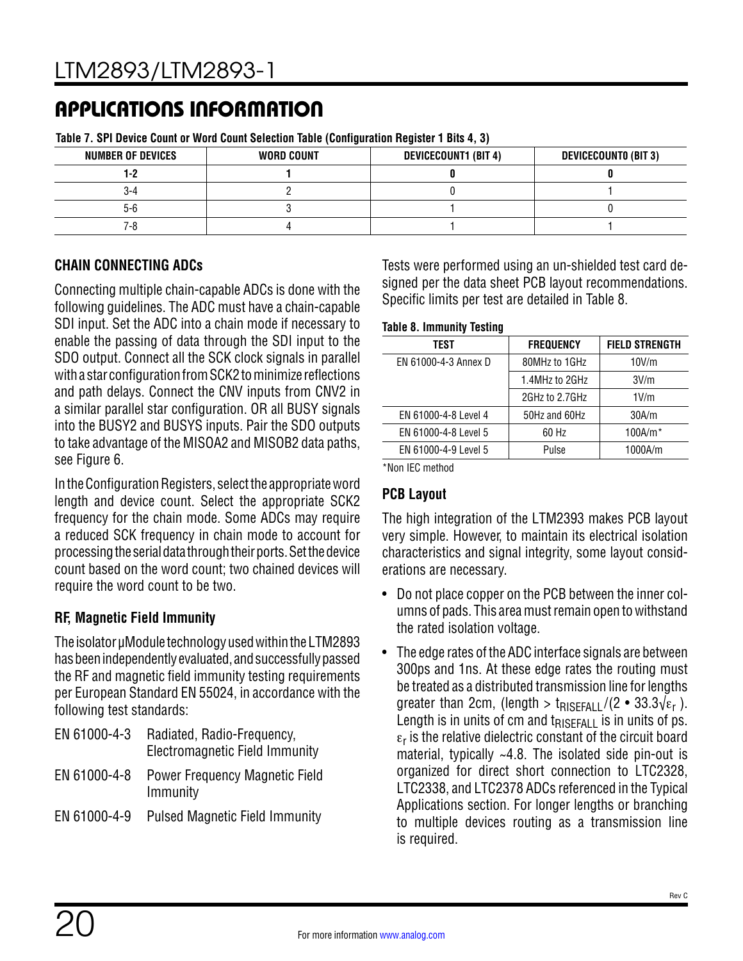| <u>, and it of the file of the company of the company of the file <math>\alpha</math> and the set of the set of the set of the set of the set of the set of the set of the set of the set of the set of the set of the set of the set of the se</u> |            |                             |                             |  |  |  |
|-----------------------------------------------------------------------------------------------------------------------------------------------------------------------------------------------------------------------------------------------------|------------|-----------------------------|-----------------------------|--|--|--|
| <b>NUMBER OF DEVICES</b>                                                                                                                                                                                                                            | WORD COUNT | <b>DEVICECOUNT1 (BIT 4)</b> | <b>DEVICECOUNTO (BIT 3)</b> |  |  |  |
|                                                                                                                                                                                                                                                     |            |                             |                             |  |  |  |
| 3-4                                                                                                                                                                                                                                                 |            |                             |                             |  |  |  |
| 5-6                                                                                                                                                                                                                                                 |            |                             |                             |  |  |  |
| 7-8                                                                                                                                                                                                                                                 |            |                             |                             |  |  |  |

<span id="page-19-0"></span>**Table 7. SPI Device Count or Word Count Selection Table (Configuration Register 1 Bits 4, 3)**

#### **CHAIN CONNECTING ADCs**

Connecting multiple chain-capable ADCs is done with the following guidelines. The ADC must have a chain-capable SDI input. Set the ADC into a chain mode if necessary to enable the passing of data through the SDI input to the SDO output. Connect all the SCK clock signals in parallel with a star configuration from SCK2 to minimize reflections and path delays. Connect the CNV inputs from CNV2 in a similar parallel star configuration. OR all BUSY signals into the BUSY2 and BUSYS inputs. Pair the SDO outputs to take advantage of the MISOA2 and MISOB2 data paths, see [Figure 6](#page-17-0).

In the Configuration Registers, select the appropriate word length and device count. Select the appropriate SCK2 frequency for the chain mode. Some ADCs may require a reduced SCK frequency in chain mode to account for processing the serial data through their ports. Set the device count based on the word count; two chained devices will require the word count to be two.

#### **RF, Magnetic Field Immunity**

The isolator µModule technology used within the LTM2893 has been independently evaluated, and successfully passed the RF and magnetic field immunity testing requirements per European Standard EN 55024, in accordance with the following test standards:

- EN 61000-4-3 Radiated, Radio-Frequency, Electromagnetic Field Immunity
- EN 61000-4-8 Power Frequency Magnetic Field Immunity
- EN 61000-4-9 Pulsed Magnetic Field Immunity

Tests were performed using an un-shielded test card designed per the data sheet PCB layout recommendations. Specific limits per test are detailed in [Table 8.](#page-19-1)

#### **Table 8. Immunity Testing**

<span id="page-19-1"></span>

| TEST                 | <b>FREQUENCY</b> | <b>FIELD STRENGTH</b> |
|----------------------|------------------|-----------------------|
| EN 61000-4-3 Annex D | 80MHz to 1GHz    | 10V/m                 |
|                      | 1.4MHz to 2GHz   | 3V/m                  |
|                      | 2GHz to 2.7GHz   | $1$ V/m               |
| EN 61000-4-8 Level 4 | 50Hz and 60Hz    | 30A/m                 |
| EN 61000-4-8 Level 5 | 60 Hz            | $100A/m*$             |
| EN 61000-4-9 Level 5 | Pulse            | 1000A/m               |
|                      |                  |                       |

\*Non IEC method

#### **PCB Layout**

The high integration of the LTM2393 makes PCB layout very simple. However, to maintain its electrical isolation characteristics and signal integrity, some layout considerations are necessary.

- Do not place copper on the PCB between the inner columns of pads. This area must remain open to withstand the rated isolation voltage.
- The edge rates of the ADC interface signals are between 300ps and 1ns. At these edge rates the routing must be treated as a distributed transmission line for lengths greater than 2cm, (length > t<sub>RISFFALL</sub>  $/(2 \cdot 33.3\sqrt{\epsilon_r})$ . Length is in units of cm and  $t_{RISFFA+1}$  is in units of ps.  $\varepsilon_r$  is the relative dielectric constant of the circuit board material, typically ~4.8. The isolated side pin-out is organized for direct short connection to LTC2328, LTC2338, and LTC2378 ADCs referenced in the [Typical](#page-24-2) [Applications](#page-24-2) section. For longer lengths or branching to multiple devices routing as a transmission line is required.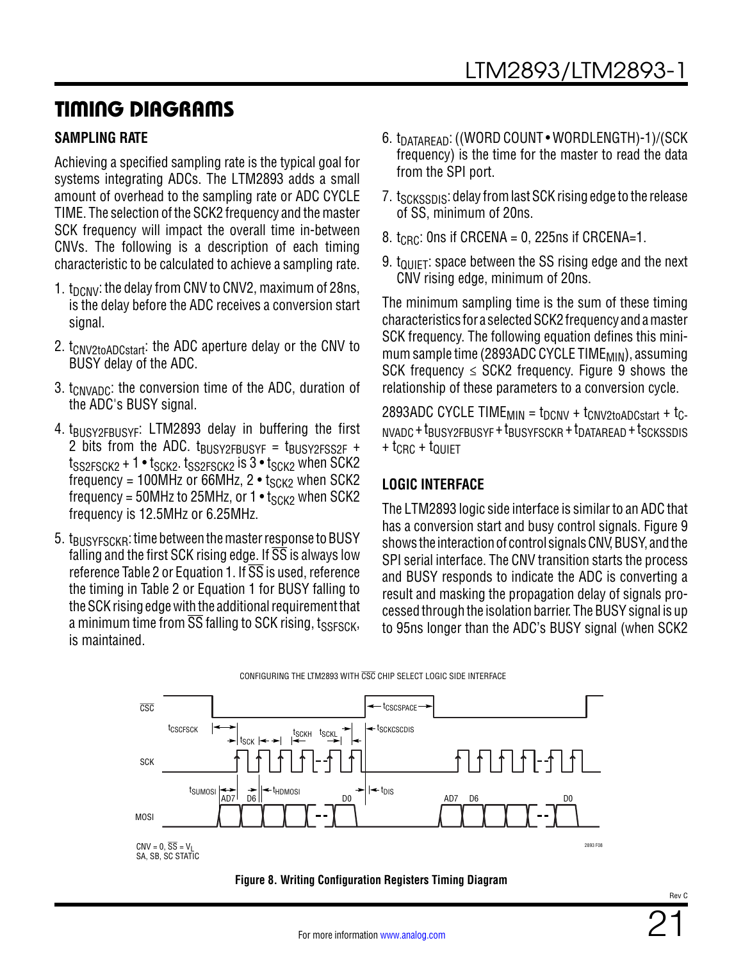### TIMING DIAGRAMS

#### <span id="page-20-1"></span>**SAMPLING RATE**

Achieving a specified sampling rate is the typical goal for systems integrating ADCs. The LTM2893 adds a small amount of overhead to the sampling rate or ADC CYCLE TIME. The selection of the SCK2 frequency and the master SCK frequency will impact the overall time in-between CNVs. The following is a description of each timing characteristic to be calculated to achieve a sampling rate.

- 1.  $t_{DCNV}$ : the delay from CNV to CNV2, maximum of 28ns, is the delay before the ADC receives a conversion start signal.
- 2. t<sub>CNV2toADCstart</sub>: the ADC aperture delay or the CNV to BUSY delay of the ADC.
- 3.  $t_{CNVADC}$ : the conversion time of the ADC, duration of the ADC's BUSY signal.
- 4. t<sub>BUSY2FBUSYF</sub>: LTM2893 delay in buffering the first 2 bits from the ADC.  $t_{\text{BUSY2FBIISYF}} = t_{\text{BUSY2FSS2F}} +$  $t_{SS2FSCK2}$  + 1 •  $t_{SCK2}$ .  $t_{SS2FSCK2}$  is 3 •  $t_{SCK2}$  when SCK2 frequency = 100MHz or 66MHz,  $2 \cdot t_{SCK2}$  when SCK2 frequency = 50MHz to 25MHz, or 1  $\cdot$  t<sub>SCK2</sub> when SCK2 frequency is 12.5MHz or 6.25MHz.
- 5. t<sub>BUSYESCKB</sub>: time between the master response to BUSY falling and the first SCK rising edge. If  $\overline{SS}$  is always low reference [Table 2](#page-15-0) or [Equation 1.](#page-14-1) If  $\overline{SS}$  is used, reference the timing in [Table 2](#page-15-0) or [Equation 1](#page-14-1) for BUSY falling to the SCK rising edge with the additional requirement that a minimum time from  $\overline{SS}$  falling to SCK rising, tssesck, is maintained.
- 6. t<sub>DATARFAD</sub>: ((WORD COUNT WORDLENGTH)-1)/(SCK frequency) is the time for the master to read the data from the SPI port.
- 7. t<sub>SCKSSDIS</sub>: delay from last SCK rising edge to the release of SS, minimum of 20ns.
- 8.  $t_{\text{CRC}}$ : Ons if CRCENA = 0, 225ns if CRCENA=1.
- 9.  $t_{\text{OIIET}}$ : space between the SS rising edge and the next CNV rising edge, minimum of 20ns.

The minimum sampling time is the sum of these timing characteristics for a selected SCK2 frequency and a master SCK frequency. The following equation defines this minimum sample time (2893ADC CYCLE TIME<sub>MIN</sub>), assuming SCK frequency  $\leq$  SCK2 frequency. Figure 9 shows the relationship of these parameters to a conversion cycle.

2893ADC CYCLE TIME $_{\text{MIN}}$  = t<sub>DCNV</sub> + t<sub>CNV2toADCstart</sub> + t<sub>C</sub>- $N$ VADC +  $t$ BUSY2FBUSYF +  $t$ BUSYFSCKR +  $t$ DATAREAD +  $t$ SCKSSDIS  $+$  t<sub>CRC</sub>  $+$  t<sub>QUIFT</sub>

#### **LOGIC INTERFACE**

The LTM2893 logic side interface is similar to an ADC that has a conversion start and busy control signals. [Figure 9](#page-21-0) shows the interaction of control signals CNV, BUSY, and the SPI serial interface. The CNV transition starts the process and BUSY responds to indicate the ADC is converting a result and masking the propagation delay of signals processed through the isolation barrier. The BUSY signal is up to 95ns longer than the ADC's BUSY signal (when SCK2



<span id="page-20-0"></span>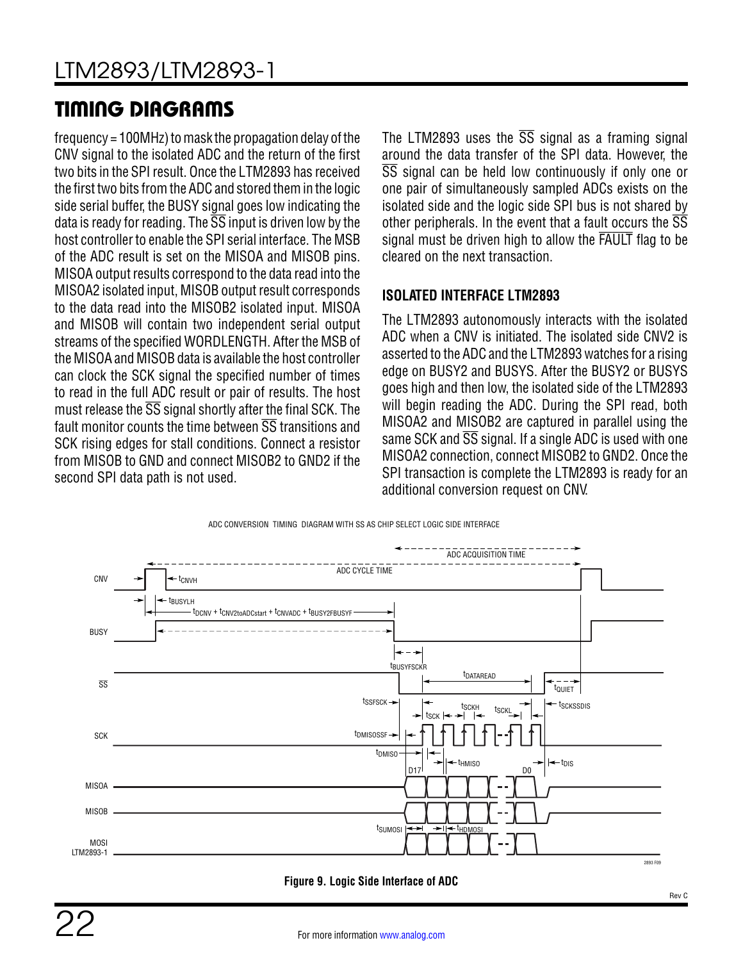# TIMING DIAGRAMS

frequency = 100MHz) to mask the propagation delay of the CNV signal to the isolated ADC and the return of the first two bits in the SPI result. Once the LTM2893 has received the first two bits from the ADC and stored them in the logic side serial buffer, the BUSY signal goes low indicating the data is ready for reading. The  $\overline{SS}$  input is driven low by the host controller to enable the SPI serial interface. The MSB of the ADC result is set on the MISOA and MISOB pins. MISOA output results correspond to the data read into the MISOA2 isolated input, MISOB output result corresponds to the data read into the MISOB2 isolated input. MISOA and MISOB will contain two independent serial output streams of the specified WORDLENGTH. After the MSB of the MISOA and MISOB data is available the host controller can clock the SCK signal the specified number of times to read in the full ADC result or pair of results. The host must release the  $\overline{SS}$  signal shortly after the final SCK. The fault monitor counts the time between SS transitions and SCK rising edges for stall conditions. Connect a resistor from MISOB to GND and connect MISOB2 to GND2 if the second SPI data path is not used.

The LTM2893 uses the  $\overline{SS}$  signal as a framing signal around the data transfer of the SPI data. However, the SS signal can be held low continuously if only one or one pair of simultaneously sampled ADCs exists on the isolated side and the logic side SPI bus is not shared by other peripherals. In the event that a fault occurs the  $\overline{\text{SS}}$ signal must be driven high to allow the FAULT flag to be cleared on the next transaction.

#### **ISOLATED INTERFACE LTM2893**

The LTM2893 autonomously interacts with the isolated ADC when a CNV is initiated. The isolated side CNV2 is asserted to the ADC and the LTM2893 watches for a rising edge on BUSY2 and BUSYS. After the BUSY2 or BUSYS goes high and then low, the isolated side of the LTM2893 will begin reading the ADC. During the SPI read, both MISOA2 and MISOB2 are captured in parallel using the same SCK and  $\overline{SS}$  signal. If a single ADC is used with one MISOA2 connection, connect MISOB2 to GND2. Once the SPI transaction is complete the LTM2893 is ready for an additional conversion request on CNV.



#### <span id="page-21-0"></span>**Figure 9. Logic Side Interface of ADC**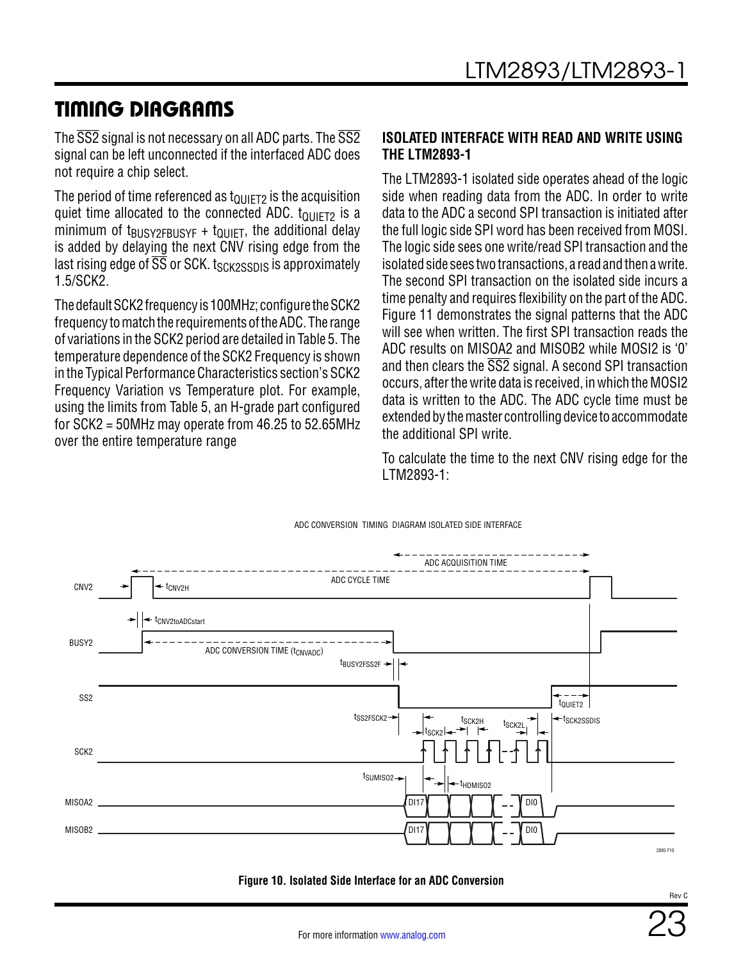### TIMING DIAGRAMS

The  $\overline{SS2}$  signal is not necessary on all ADC parts. The  $\overline{SS2}$ signal can be left unconnected if the interfaced ADC does not require a chip select.

The period of time referenced as  $t_{\text{OIIIFT2}}$  is the acquisition quiet time allocated to the connected ADC.  $t_{\text{QUIET2}}$  is a minimum of  $t_{\text{BUSY2FBUSYF}} + t_{\text{QUIET}}$ , the additional delay is added by delaying the next CNV rising edge from the last rising edge of  $\overline{\text{SS}}$  or SCK. t<sub>SCK2SSDIS</sub> is approximately 1.5/SCK2.

The default SCK2 frequency is 100MHz; configure the SCK2 frequency to match the requirements of the ADC. The range of variations in the SCK2 period are detailed in [Table 5](#page-18-0). The temperature dependence of the SCK2 Frequency is shown in the [Typical Performance Characteristics](#page-5-0) section's SCK2 Frequency Variation vs Temperature plot. For example, using the limits from [Table 5](#page-18-0), an H-grade part configured for SCK2 = 50MHz may operate from 46.25 to 52.65MHz over the entire temperature range

#### **ISOLATED INTERFACE WITH READ AND WRITE USING THE LTM2893-1**

The LTM2893-1 isolated side operates ahead of the logic side when reading data from the ADC. In order to write data to the ADC a second SPI transaction is initiated after the full logic side SPI word has been received from MOSI. The logic side sees one write/read SPI transaction and the isolated side sees two transactions, a read and then a write. The second SPI transaction on the isolated side incurs a time penalty and requires flexibility on the part of the ADC. [Figure 11](#page-23-2) demonstrates the signal patterns that the ADC will see when written. The first SPI transaction reads the ADC results on MISOA2 and MISOB2 while MOSI2 is '0' and then clears the SS2 signal. A second SPI transaction occurs, after the write data is received, in which the MOSI2 data is written to the ADC. The ADC cycle time must be extended by the master controlling device to accommodate the additional SPI write.

To calculate the time to the next CNV rising edge for the LTM2893-1:



**Figure 10. Isolated Side Interface for an ADC Conversion**

Rev C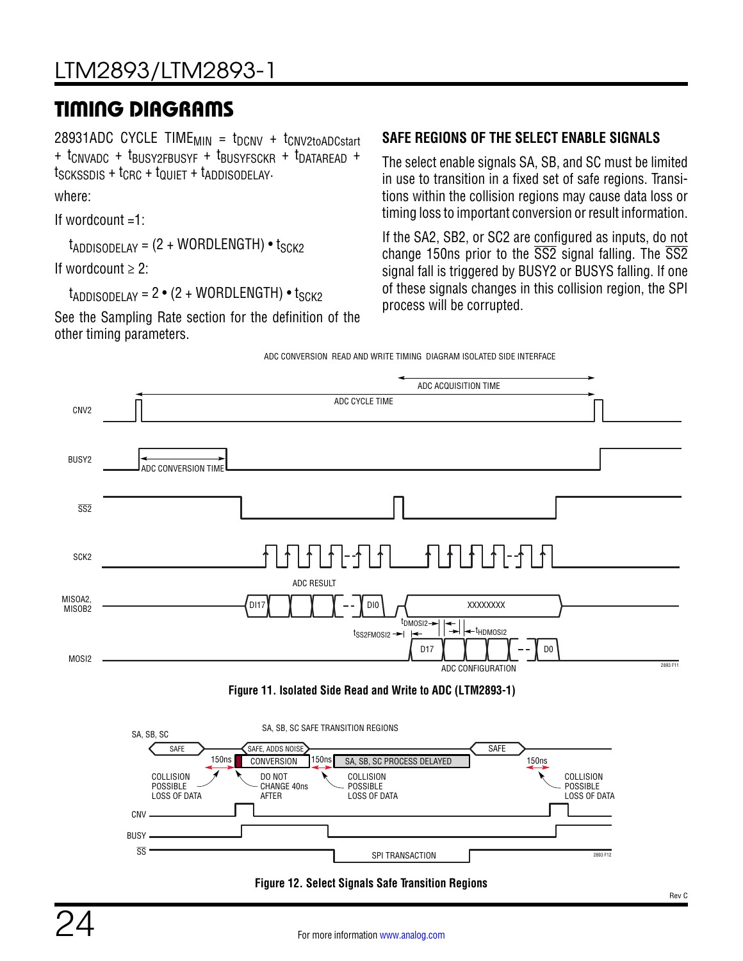# LTM2893/LTM2893-1

### TIMING DIAGRAMS

28931ADC CYCLE TIME $_{MIN}$  =  $t_{DCNV}$  +  $t_{CNV2toADCstart}$ + tCNVADC + tBUSY2FBUSYF + tBUSYFSCKR + tDATAREAD + tSCKSSDIS + tCRC + tQUIET + tADDISODELAY.

where:

If wordcount =1:

 $t_{\text{ADDISODELAY}} = (2 + \text{WORDLENGTH}) \cdot t_{\text{SCK2}}$ 

If wordcount  $\geq 2$ :

 $t_{ADDISODFIAY} = 2 \cdot (2 + WORDLENGTH) \cdot t_{SCK2}$ 

See the [Sampling Rate](#page-20-1) section for the definition of the other timing parameters.

#### <span id="page-23-0"></span>**SAFE REGIONS OF THE SELECT ENABLE SIGNALS**

The select enable signals SA, SB, and SC must be limited in use to transition in a fixed set of safe regions. Transitions within the collision regions may cause data loss or timing loss to important conversion or result information.

If the SA2, SB2, or SC2 are configured as inputs, do not change 150ns prior to the  $\overline{SS2}$  signal falling. The  $\overline{SS2}$ signal fall is triggered by BUSY2 or BUSYS falling. If one of these signals changes in this collision region, the SPI process will be corrupted.







<span id="page-23-2"></span><span id="page-23-1"></span>**Figure 12. Select Signals Safe Transition Regions**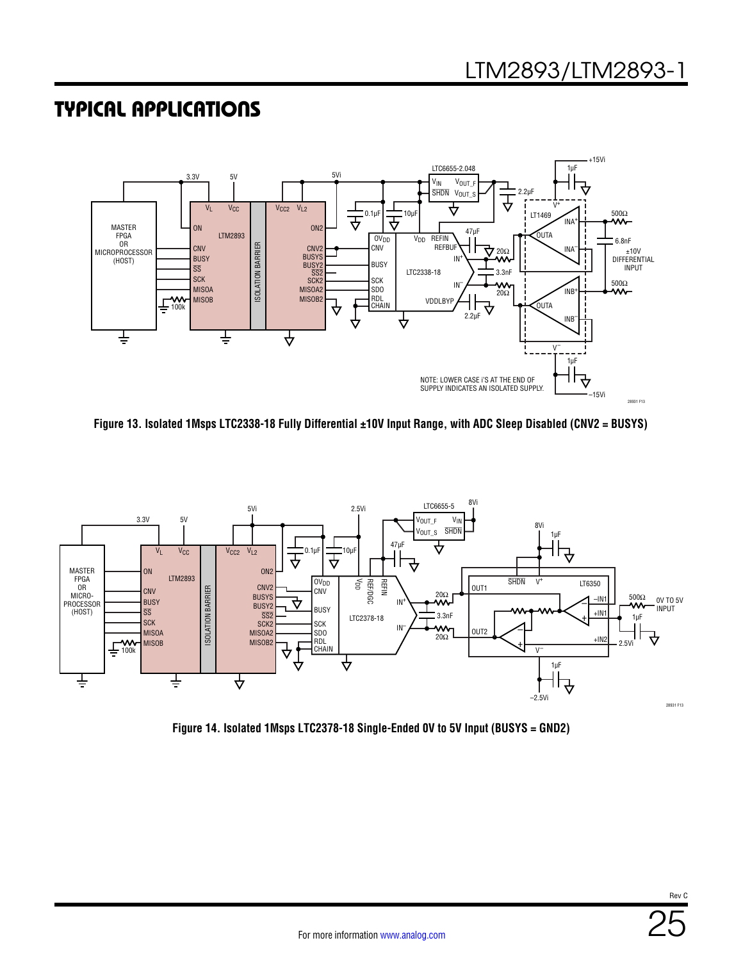<span id="page-24-2"></span>

<span id="page-24-1"></span>**Figure 13. Isolated 1Msps LTC2338-18 Fully Differential ±10V Input Range, with ADC Sleep Disabled (CNV2 = BUSYS)**



<span id="page-24-0"></span>**Figure 14. Isolated 1Msps LTC2378-18 Single-Ended 0V to 5V Input (BUSYS = GND2)**

Rev C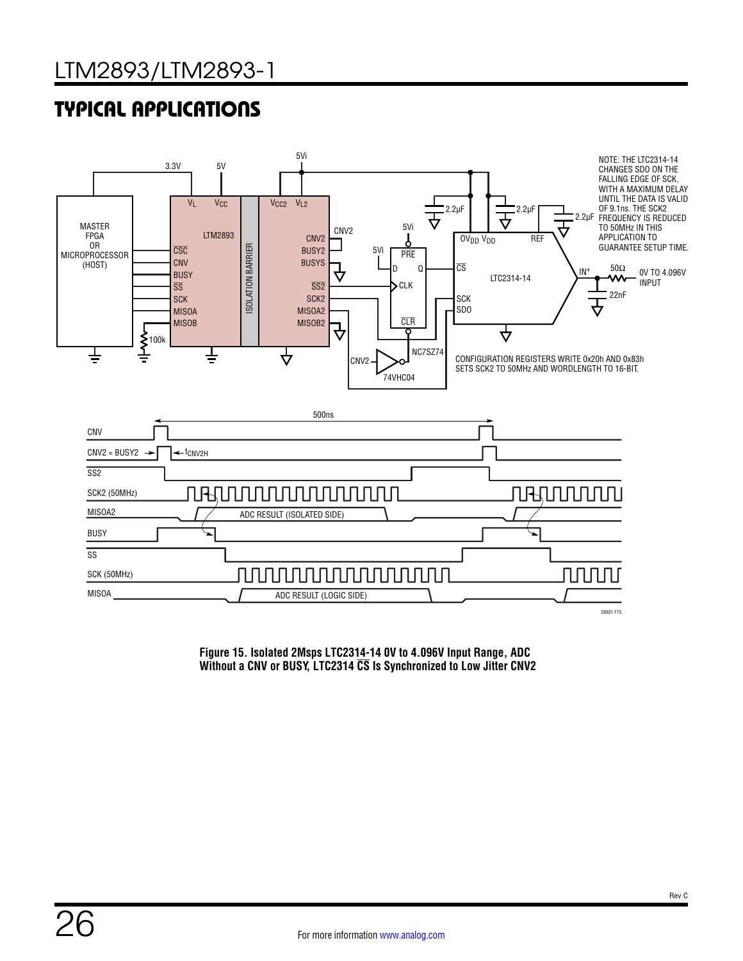

<span id="page-25-0"></span>**Figure 15. Isolated 2Msps LTC2314-14 0V to 4.096V Input Range, ADC Without a CNV or BUSY, LTC2314 CS Is Synchronized to Low Jitter CNV2**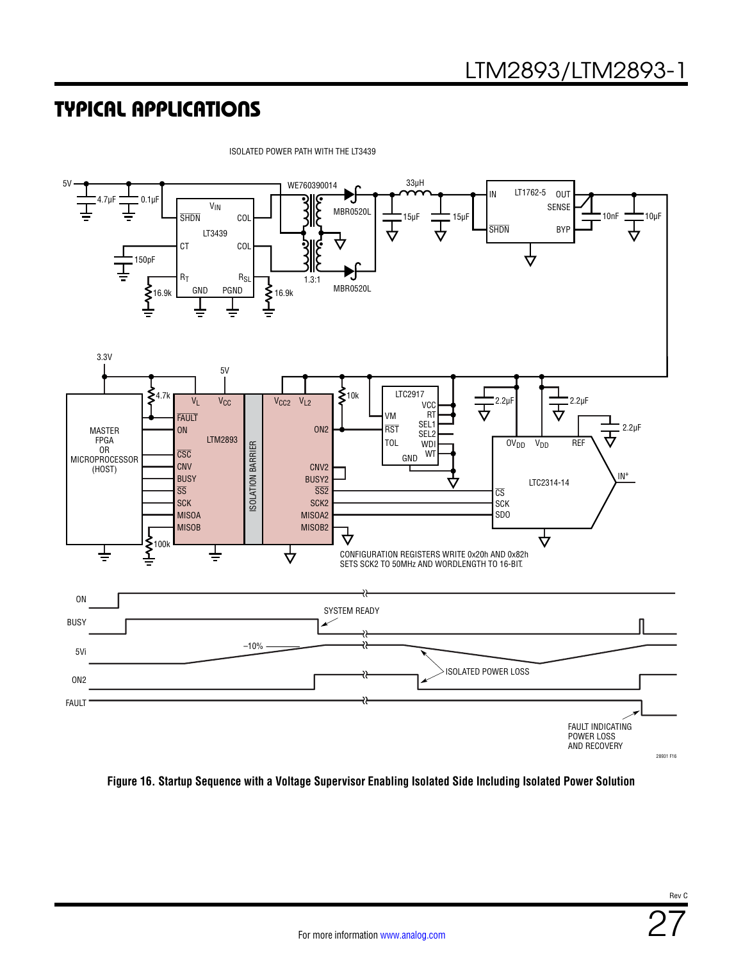![](_page_26_Figure_2.jpeg)

ISOLATED POWER PATH WITH THE LT3439

<span id="page-26-0"></span>**Figure 16. Startup Sequence with a Voltage Supervisor Enabling Isolated Side Including Isolated Power Solution**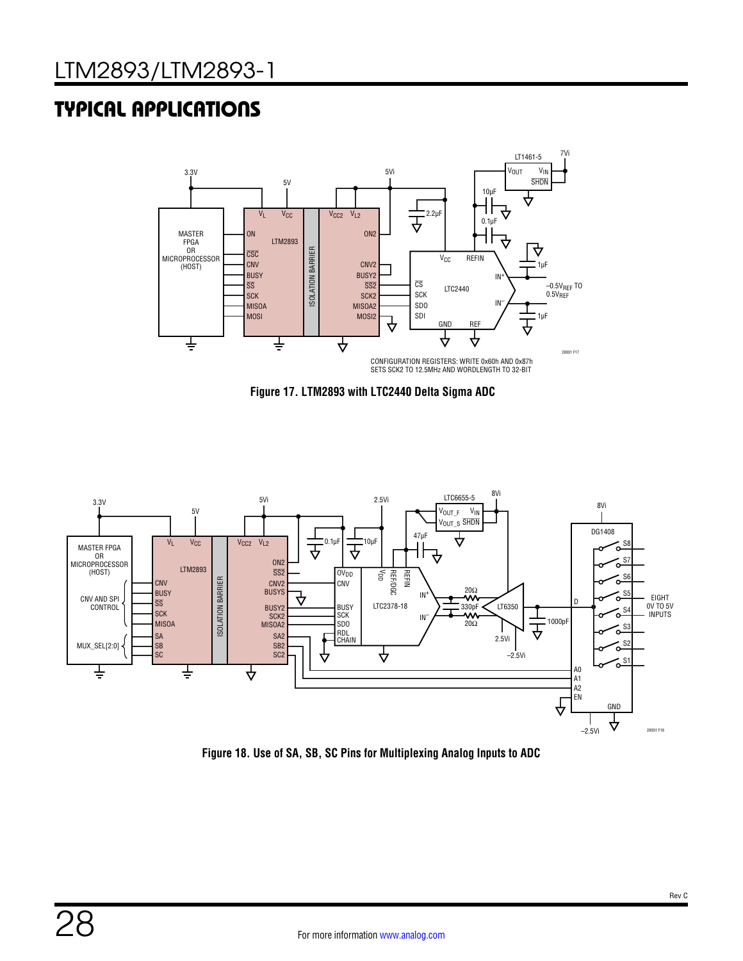![](_page_27_Figure_2.jpeg)

**Figure 17. LTM2893 with LTC2440 Delta Sigma ADC**

![](_page_27_Figure_4.jpeg)

<span id="page-27-0"></span>**Figure 18. Use of SA, SB, SC Pins for Multiplexing Analog Inputs to ADC**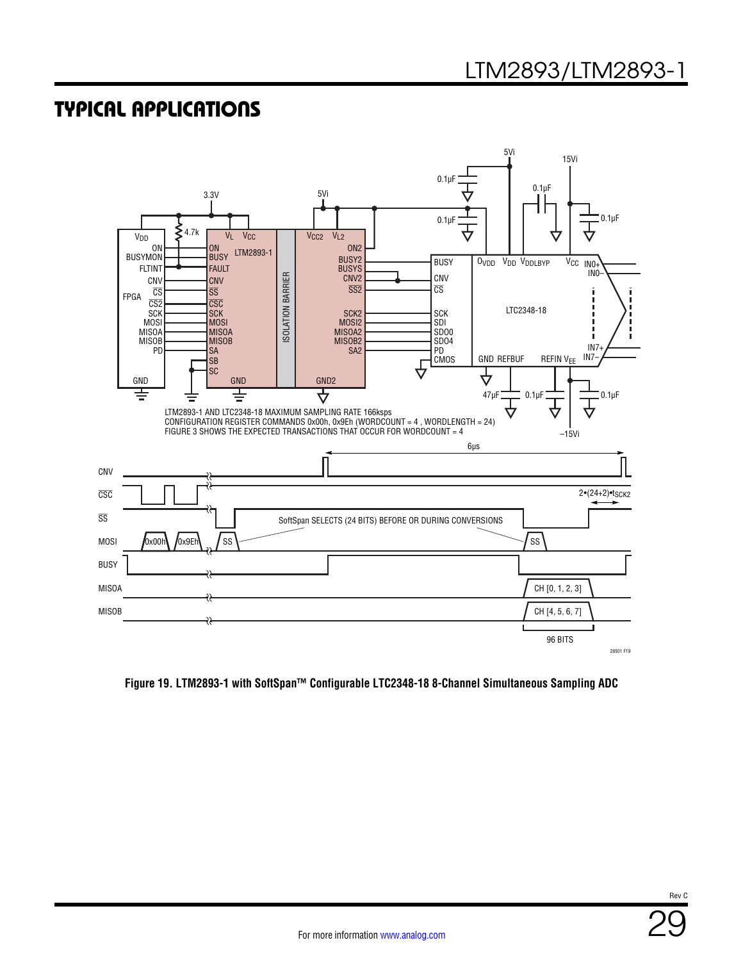![](_page_28_Figure_2.jpeg)

**Figure 19. LTM2893-1 with SoftSpan™ Configurable LTC2348-18 8-Channel Simultaneous Sampling ADC**

Rev C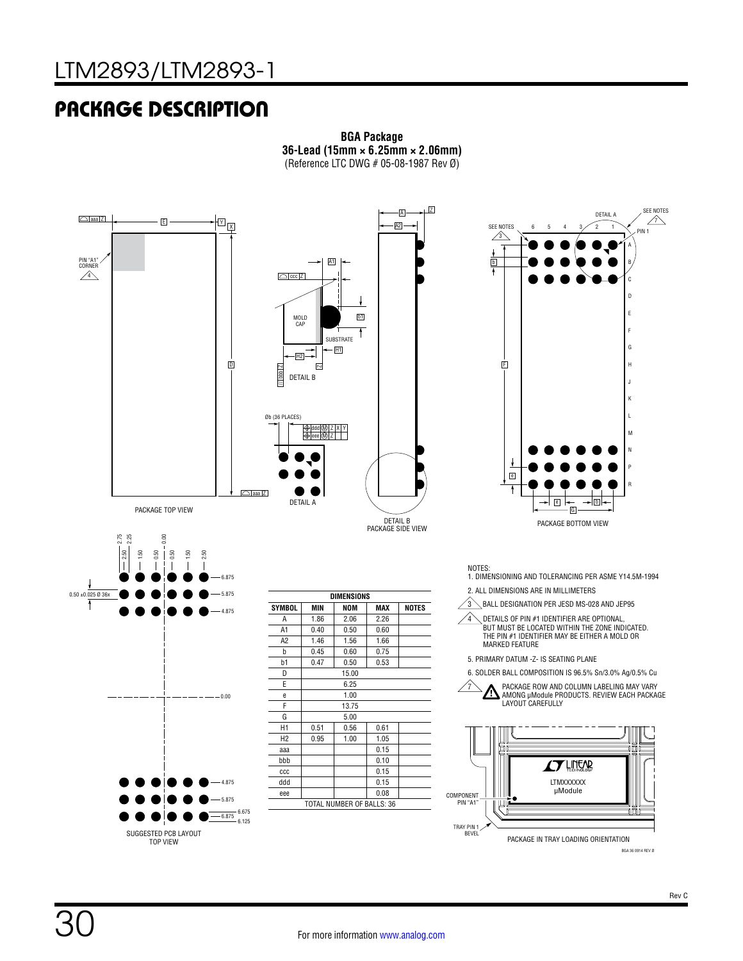### PACKAGE DESCRIPTION

![](_page_29_Figure_2.jpeg)

![](_page_29_Figure_3.jpeg)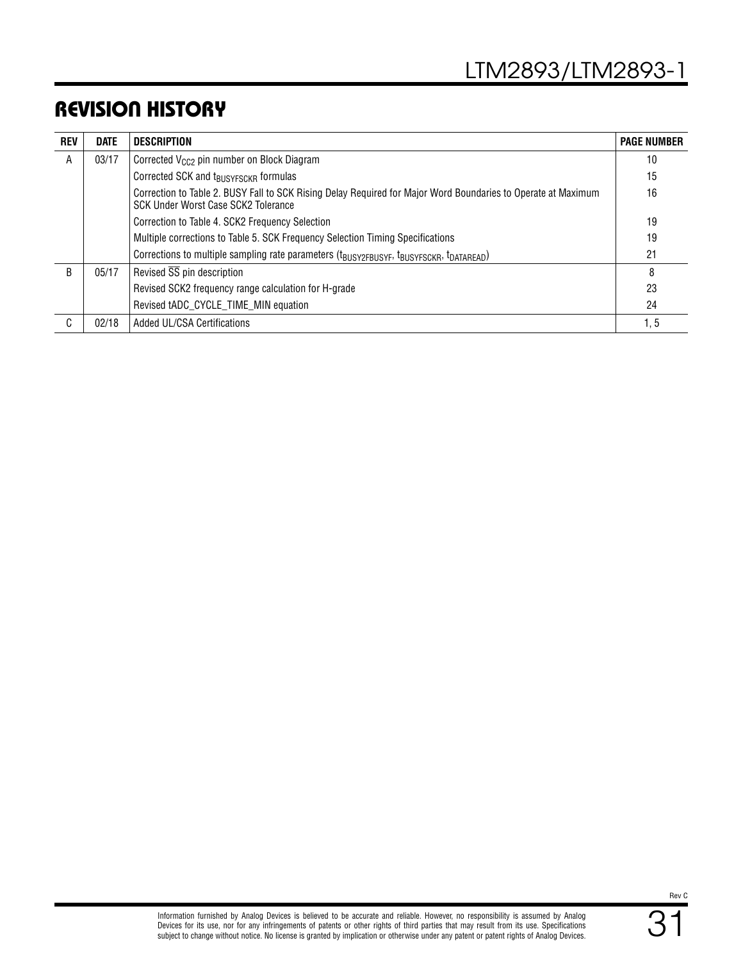### REVISION HISTORY

| <b>REV</b> | <b>DATE</b> | <b>DESCRIPTION</b>                                                                                                                                   | <b>PAGE NUMBER</b> |
|------------|-------------|------------------------------------------------------------------------------------------------------------------------------------------------------|--------------------|
| A          | 03/17       | Corrected V <sub>CC2</sub> pin number on Block Diagram                                                                                               | 10                 |
|            |             | Corrected SCK and t <sub>BUSYFSCKR</sub> formulas                                                                                                    | 15                 |
|            |             | Correction to Table 2. BUSY Fall to SCK Rising Delay Required for Major Word Boundaries to Operate at Maximum<br>SCK Under Worst Case SCK2 Tolerance | 16                 |
|            |             | Correction to Table 4. SCK2 Frequency Selection                                                                                                      | 19                 |
|            |             | Multiple corrections to Table 5. SCK Frequency Selection Timing Specifications                                                                       | 19                 |
|            |             | Corrections to multiple sampling rate parameters (t <sub>BUSY2FBUSYF</sub> , t <sub>BUSYFSCKR</sub> , t <sub>DATAREAD</sub> )                        | 21                 |
| R          | 05/17       | Revised $\overline{SS}$ pin description                                                                                                              | 8                  |
|            |             | Revised SCK2 frequency range calculation for H-grade                                                                                                 | 23                 |
|            |             | Revised tADC_CYCLE_TIME_MIN equation                                                                                                                 | 24                 |
| C          | 02/18       | Added UL/CSA Certifications                                                                                                                          | 1, 5               |